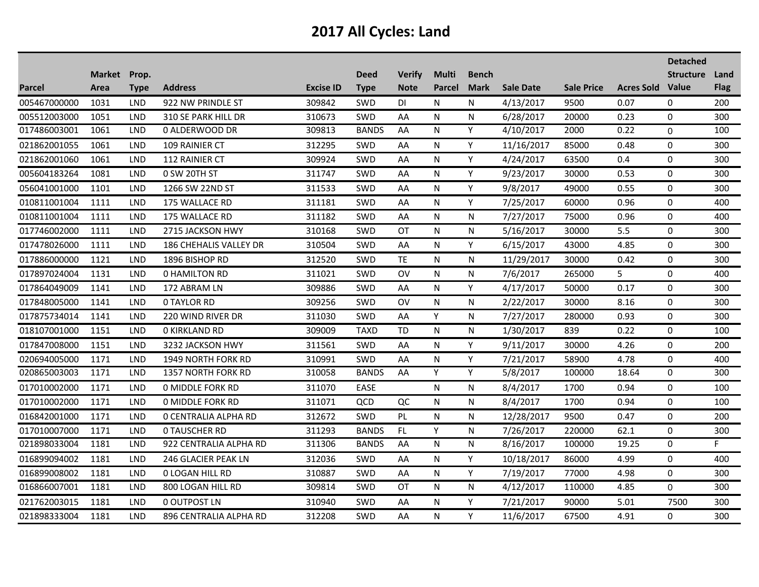|               |              |             |                           |                  |              |               |               |              |                  |                   |                   | <b>Detached</b>  |             |
|---------------|--------------|-------------|---------------------------|------------------|--------------|---------------|---------------|--------------|------------------|-------------------|-------------------|------------------|-------------|
|               | Market Prop. |             |                           |                  | <b>Deed</b>  | <b>Verify</b> | <b>Multi</b>  | <b>Bench</b> |                  |                   |                   | <b>Structure</b> | Land        |
| <b>Parcel</b> | Area         | <b>Type</b> | <b>Address</b>            | <b>Excise ID</b> | <b>Type</b>  | <b>Note</b>   | <b>Parcel</b> | <b>Mark</b>  | <b>Sale Date</b> | <b>Sale Price</b> | <b>Acres Sold</b> | Value            | <b>Flag</b> |
| 005467000000  | 1031         | <b>LND</b>  | 922 NW PRINDLE ST         | 309842           | SWD          | DI            | N             | N            | 4/13/2017        | 9500              | 0.07              | $\mathbf 0$      | 200         |
| 005512003000  | 1051         | <b>LND</b>  | 310 SE PARK HILL DR       | 310673           | SWD          | AA            | N             | N            | 6/28/2017        | 20000             | 0.23              | $\mathbf 0$      | 300         |
| 017486003001  | 1061         | <b>LND</b>  | 0 ALDERWOOD DR            | 309813           | <b>BANDS</b> | AA            | N             | Y            | 4/10/2017        | 2000              | 0.22              | 0                | 100         |
| 021862001055  | 1061         | <b>LND</b>  | 109 RAINIER CT            | 312295           | SWD          | AA            | N             | Y            | 11/16/2017       | 85000             | 0.48              | $\Omega$         | 300         |
| 021862001060  | 1061         | <b>LND</b>  | 112 RAINIER CT            | 309924           | <b>SWD</b>   | AA            | N             | Y            | 4/24/2017        | 63500             | 0.4               | $\mathbf 0$      | 300         |
| 005604183264  | 1081         | <b>LND</b>  | 0 SW 20TH ST              | 311747           | SWD          | AA            | N             | Y            | 9/23/2017        | 30000             | 0.53              | $\mathbf 0$      | 300         |
| 056041001000  | 1101         | <b>LND</b>  | 1266 SW 22ND ST           | 311533           | SWD          | AA            | N             | Y            | 9/8/2017         | 49000             | 0.55              | 0                | 300         |
| 010811001004  | 1111         | <b>LND</b>  | 175 WALLACE RD            | 311181           | SWD          | AA            | N             | Υ            | 7/25/2017        | 60000             | 0.96              | $\Omega$         | 400         |
| 010811001004  | 1111         | <b>LND</b>  | 175 WALLACE RD            | 311182           | SWD          | AA            | N             | N            | 7/27/2017        | 75000             | 0.96              | $\mathbf 0$      | 400         |
| 017746002000  | 1111         | <b>LND</b>  | 2715 JACKSON HWY          | 310168           | SWD          | ОT            | N             | N            | 5/16/2017        | 30000             | 5.5               | $\mathbf 0$      | 300         |
| 017478026000  | 1111         | <b>LND</b>  | 186 CHEHALIS VALLEY DR    | 310504           | SWD          | AA            | N             | Y            | 6/15/2017        | 43000             | 4.85              | $\mathbf 0$      | 300         |
| 017886000000  | 1121         | <b>LND</b>  | 1896 BISHOP RD            | 312520           | <b>SWD</b>   | TE            | N             | N            | 11/29/2017       | 30000             | 0.42              | $\Omega$         | 300         |
| 017897024004  | 1131         | <b>LND</b>  | <b>0 HAMILTON RD</b>      | 311021           | SWD          | <b>OV</b>     | N             | N            | 7/6/2017         | 265000            | 5                 | $\mathbf 0$      | 400         |
| 017864049009  | 1141         | <b>LND</b>  | 172 ABRAM LN              | 309886           | SWD          | AA            | N             | Y            | 4/17/2017        | 50000             | 0.17              | $\mathbf 0$      | 300         |
| 017848005000  | 1141         | <b>LND</b>  | <b>0 TAYLOR RD</b>        | 309256           | SWD          | OV            | N             | N            | 2/22/2017        | 30000             | 8.16              | $\mathbf 0$      | 300         |
| 017875734014  | 1141         | <b>LND</b>  | 220 WIND RIVER DR         | 311030           | SWD          | AA            | Y             | N            | 7/27/2017        | 280000            | 0.93              | $\Omega$         | 300         |
| 018107001000  | 1151         | <b>LND</b>  | <b>0 KIRKLAND RD</b>      | 309009           | <b>TAXD</b>  | <b>TD</b>     | N             | N            | 1/30/2017        | 839               | 0.22              | 0                | 100         |
| 017847008000  | 1151         | <b>LND</b>  | 3232 JACKSON HWY          | 311561           | SWD          | AA            | N             | Y            | 9/11/2017        | 30000             | 4.26              | $\mathbf 0$      | 200         |
| 020694005000  | 1171         | <b>LND</b>  | 1949 NORTH FORK RD        | 310991           | SWD          | AA            | N             | Y            | 7/21/2017        | 58900             | 4.78              | $\mathbf 0$      | 400         |
| 020865003003  | 1171         | <b>LND</b>  | <b>1357 NORTH FORK RD</b> | 310058           | <b>BANDS</b> | AA            | Y             | Y            | 5/8/2017         | 100000            | 18.64             | $\mathbf 0$      | 300         |
| 017010002000  | 1171         | <b>LND</b>  | <b>0 MIDDLE FORK RD</b>   | 311070           | EASE         |               | N             | N            | 8/4/2017         | 1700              | 0.94              | 0                | 100         |
| 017010002000  | 1171         | <b>LND</b>  | <b>0 MIDDLE FORK RD</b>   | 311071           | QCD          | QC            | N             | N            | 8/4/2017         | 1700              | 0.94              | $\mathbf 0$      | 100         |
| 016842001000  | 1171         | <b>LND</b>  | O CENTRALIA ALPHA RD      | 312672           | SWD          | <b>PL</b>     | N             | N            | 12/28/2017       | 9500              | 0.47              | $\mathbf 0$      | 200         |
| 017010007000  | 1171         | <b>LND</b>  | <b>0 TAUSCHER RD</b>      | 311293           | <b>BANDS</b> | FL            | Y             | N            | 7/26/2017        | 220000            | 62.1              | $\mathbf 0$      | 300         |
| 021898033004  | 1181         | <b>LND</b>  | 922 CENTRALIA ALPHA RD    | 311306           | <b>BANDS</b> | AA            | N             | N            | 8/16/2017        | 100000            | 19.25             | $\mathbf 0$      | F           |
| 016899094002  | 1181         | <b>LND</b>  | 246 GLACIER PEAK LN       | 312036           | SWD          | AA            | N             | Y            | 10/18/2017       | 86000             | 4.99              | 0                | 400         |
| 016899008002  | 1181         | <b>LND</b>  | <b>0 LOGAN HILL RD</b>    | 310887           | SWD          | AA            | N             | Y            | 7/19/2017        | 77000             | 4.98              | 0                | 300         |
| 016866007001  | 1181         | <b>LND</b>  | 800 LOGAN HILL RD         | 309814           | <b>SWD</b>   | <b>OT</b>     | N             | N            | 4/12/2017        | 110000            | 4.85              | 0                | 300         |
| 021762003015  | 1181         | <b>LND</b>  | 0 OUTPOST LN              | 310940           | SWD          | AA            | N             | Υ            | 7/21/2017        | 90000             | 5.01              | 7500             | 300         |
| 021898333004  | 1181         | <b>LND</b>  | 896 CENTRALIA ALPHA RD    | 312208           | SWD          | AA            | N             | Y            | 11/6/2017        | 67500             | 4.91              | 0                | 300         |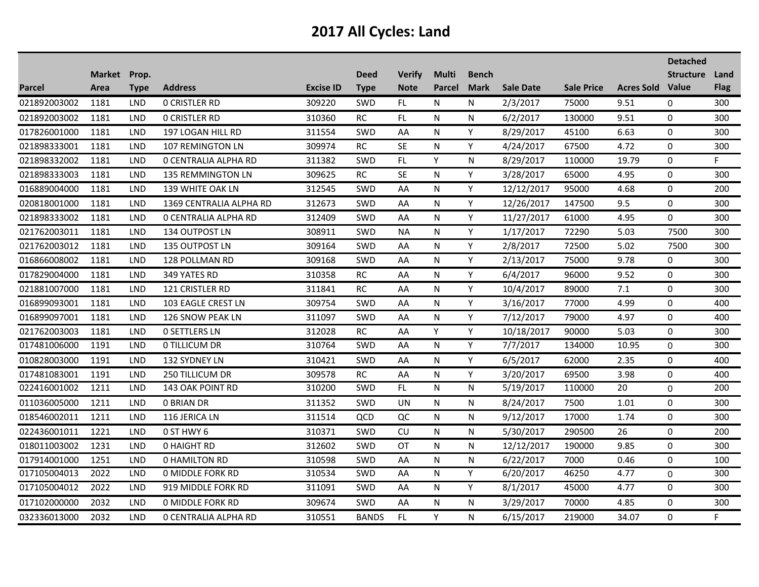|               |                      |             |                             |                  |                            |                              |                               |                             |                  |                   |                         | <b>Detached</b>  |                     |
|---------------|----------------------|-------------|-----------------------------|------------------|----------------------------|------------------------------|-------------------------------|-----------------------------|------------------|-------------------|-------------------------|------------------|---------------------|
| <b>Parcel</b> | Market Prop.<br>Area | <b>Type</b> | <b>Address</b>              | <b>Excise ID</b> | <b>Deed</b><br><b>Type</b> | <b>Verify</b><br><b>Note</b> | <b>Multi</b><br><b>Parcel</b> | <b>Bench</b><br><b>Mark</b> | <b>Sale Date</b> | <b>Sale Price</b> | <b>Acres Sold Value</b> | <b>Structure</b> | Land<br><b>Flag</b> |
| 021892003002  | 1181                 | LND         | <b>0 CRISTLER RD</b>        | 309220           | SWD                        | FL                           | N                             | N                           | 2/3/2017         | 75000             | 9.51                    | $\mathbf 0$      | 300                 |
| 021892003002  | 1181                 | <b>LND</b>  | <b>0 CRISTLER RD</b>        | 310360           | <b>RC</b>                  | FL.                          | N                             | N                           | 6/2/2017         | 130000            | 9.51                    | 0                | 300                 |
| 017826001000  | 1181                 | <b>LND</b>  | 197 LOGAN HILL RD           | 311554           | SWD                        | AA                           | N                             | Y                           | 8/29/2017        | 45100             | 6.63                    | 0                | 300                 |
| 021898333001  | 1181                 | LND         | 107 REMINGTON LN            | 309974           | <b>RC</b>                  | <b>SE</b>                    | N                             | Y                           | 4/24/2017        | 67500             | 4.72                    | 0                | 300                 |
| 021898332002  | 1181                 | <b>LND</b>  | <b>0 CENTRALIA ALPHA RD</b> | 311382           | <b>SWD</b>                 | FL.                          | Y                             | N                           | 8/29/2017        | 110000            | 19.79                   | $\mathbf 0$      | F.                  |
| 021898333003  | 1181                 | LND         | 135 REMMINGTON LN           | 309625           | <b>RC</b>                  | <b>SE</b>                    | N                             | Y                           | 3/28/2017        | 65000             | 4.95                    | 0                | 300                 |
| 016889004000  | 1181                 | <b>LND</b>  | 139 WHITE OAK LN            | 312545           | SWD                        | AA                           | N                             | Y                           | 12/12/2017       | 95000             | 4.68                    | 0                | 200                 |
| 020818001000  | 1181                 | <b>LND</b>  | 1369 CENTRALIA ALPHA RD     | 312673           | SWD                        | AA                           | N                             | Y                           | 12/26/2017       | 147500            | 9.5                     | 0                | 300                 |
| 021898333002  | 1181                 | <b>LND</b>  | O CENTRALIA ALPHA RD        | 312409           | <b>SWD</b>                 | AA                           | N                             | Y                           | 11/27/2017       | 61000             | 4.95                    | 0                | 300                 |
| 021762003011  | 1181                 | <b>LND</b>  | 134 OUTPOST LN              | 308911           | SWD                        | <b>NA</b>                    | N                             | Y                           | 1/17/2017        | 72290             | 5.03                    | 7500             | 300                 |
| 021762003012  | 1181                 | <b>LND</b>  | 135 OUTPOST LN              | 309164           | SWD                        | AA                           | N                             | Y                           | 2/8/2017         | 72500             | 5.02                    | 7500             | 300                 |
| 016866008002  | 1181                 | <b>LND</b>  | 128 POLLMAN RD              | 309168           | <b>SWD</b>                 | AA                           | N                             | Y                           | 2/13/2017        | 75000             | 9.78                    | 0                | 300                 |
| 017829004000  | 1181                 | <b>LND</b>  | 349 YATES RD                | 310358           | RC                         | AA                           | N                             | Y                           | 6/4/2017         | 96000             | 9.52                    | 0                | 300                 |
| 021881007000  | 1181                 | <b>LND</b>  | 121 CRISTLER RD             | 311841           | RC                         | AA                           | N                             | Y                           | 10/4/2017        | 89000             | 7.1                     | 0                | 300                 |
| 016899093001  | 1181                 | <b>LND</b>  | 103 EAGLE CREST LN          | 309754           | <b>SWD</b>                 | AA                           | N                             | Y                           | 3/16/2017        | 77000             | 4.99                    | 0                | 400                 |
| 016899097001  | 1181                 | <b>LND</b>  | 126 SNOW PEAK LN            | 311097           | SWD                        | AA                           | N                             | Y                           | 7/12/2017        | 79000             | 4.97                    | $\mathbf 0$      | 400                 |
| 021762003003  | 1181                 | <b>LND</b>  | <b>0 SETTLERS LN</b>        | 312028           | RC                         | AA                           | Υ                             | Υ                           | 10/18/2017       | 90000             | 5.03                    | 0                | 300                 |
| 017481006000  | 1191                 | <b>LND</b>  | 0 TILLICUM DR               | 310764           | SWD                        | AA                           | N                             | Y                           | 7/7/2017         | 134000            | 10.95                   | 0                | 300                 |
| 010828003000  | 1191                 | <b>LND</b>  | 132 SYDNEY LN               | 310421           | <b>SWD</b>                 | AA                           | N                             | Y                           | 6/5/2017         | 62000             | 2.35                    | 0                | 400                 |
| 017481083001  | 1191                 | <b>LND</b>  | <b>250 TILLICUM DR</b>      | 309578           | RC                         | AA                           | N                             | Y                           | 3/20/2017        | 69500             | 3.98                    | 0                | 400                 |
| 022416001002  | 1211                 | <b>LND</b>  | 143 OAK POINT RD            | 310200           | SWD                        | FL                           | N                             | N.                          | 5/19/2017        | 110000            | 20                      | $\boldsymbol{0}$ | 200                 |
| 011036005000  | 1211                 | <b>LND</b>  | <b>0 BRIAN DR</b>           | 311352           | <b>SWD</b>                 | <b>UN</b>                    | N                             | N                           | 8/24/2017        | 7500              | 1.01                    | 0                | 300                 |
| 018546002011  | 1211                 | <b>LND</b>  | 116 JERICA LN               | 311514           | QCD                        | QC                           | N                             | N                           | 9/12/2017        | 17000             | 1.74                    | 0                | 300                 |
| 022436001011  | 1221                 | <b>LND</b>  | 0 ST HWY 6                  | 310371           | SWD                        | CU                           | N                             | N                           | 5/30/2017        | 290500            | 26                      | $\mathbf 0$      | 200                 |
| 018011003002  | 1231                 | <b>LND</b>  | <b>0 HAIGHT RD</b>          | 312602           | <b>SWD</b>                 | OT                           | N                             | N                           | 12/12/2017       | 190000            | 9.85                    | 0                | 300                 |
| 017914001000  | 1251                 | <b>LND</b>  | <b>0 HAMILTON RD</b>        | 310598           | SWD                        | AA                           | N                             | N                           | 6/22/2017        | 7000              | 0.46                    | 0                | 100                 |
| 017105004013  | 2022                 | <b>LND</b>  | <b>0 MIDDLE FORK RD</b>     | 310534           | SWD                        | AA                           | N                             | Y                           | 6/20/2017        | 46250             | 4.77                    | $\Omega$         | 300                 |
| 017105004012  | 2022                 | <b>LND</b>  | 919 MIDDLE FORK RD          | 311091           | <b>SWD</b>                 | AA                           | N                             | Y                           | 8/1/2017         | 45000             | 4.77                    | $\mathbf 0$      | 300                 |
| 017102000000  | 2032                 | <b>LND</b>  | <b>0 MIDDLE FORK RD</b>     | 309674           | <b>SWD</b>                 | AA                           | N                             | N                           | 3/29/2017        | 70000             | 4.85                    | 0                | 300                 |
| 032336013000  | 2032                 | <b>LND</b>  | O CENTRALIA ALPHA RD        | 310551           | <b>BANDS</b>               | FL.                          | Y                             | N                           | 6/15/2017        | 219000            | 34.07                   | 0                | F.                  |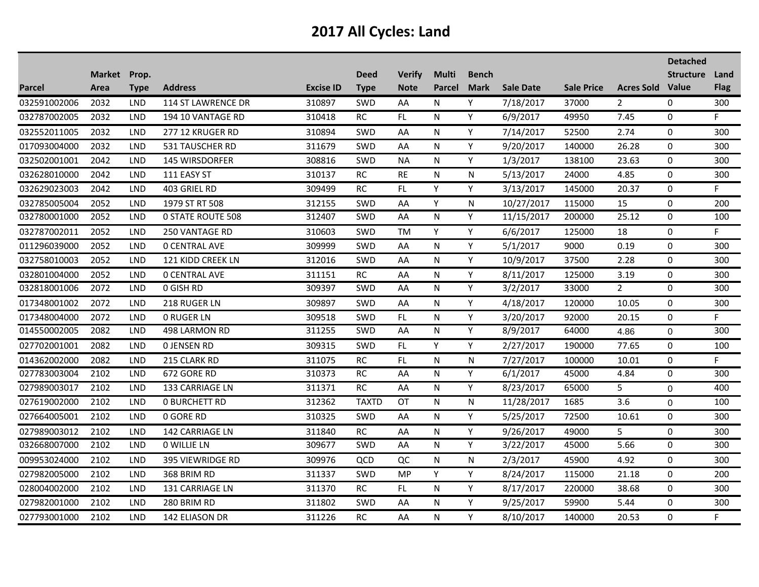|               |              |            |                          |                  |              |               |              |              |                  |                   |                         | <b>Detached</b>  |             |
|---------------|--------------|------------|--------------------------|------------------|--------------|---------------|--------------|--------------|------------------|-------------------|-------------------------|------------------|-------------|
|               | Market Prop. |            |                          |                  | <b>Deed</b>  | <b>Verify</b> | <b>Multi</b> | <b>Bench</b> |                  |                   |                         | <b>Structure</b> | Land        |
| <b>Parcel</b> | Area         | Type       | <b>Address</b>           | <b>Excise ID</b> | <b>Type</b>  | <b>Note</b>   | Parcel       | <b>Mark</b>  | <b>Sale Date</b> | <b>Sale Price</b> | <b>Acres Sold Value</b> |                  | <b>Flag</b> |
| 032591002006  | 2032         | <b>LND</b> | 114 ST LAWRENCE DR       | 310897           | SWD          | AA            | N            | Y            | 7/18/2017        | 37000             | $\mathbf{2}^{\prime}$   | 0                | 300         |
| 032787002005  | 2032         | <b>LND</b> | 194 10 VANTAGE RD        | 310418           | <b>RC</b>    | FL.           | N            | Y            | 6/9/2017         | 49950             | 7.45                    | $\boldsymbol{0}$ | F.          |
| 032552011005  | 2032         | <b>LND</b> | 277 12 KRUGER RD         | 310894           | SWD          | AA            | N            | Y            | 7/14/2017        | 52500             | 2.74                    | 0                | 300         |
| 017093004000  | 2032         | <b>LND</b> | 531 TAUSCHER RD          | 311679           | SWD          | AA            | N            | Y            | 9/20/2017        | 140000            | 26.28                   | 0                | 300         |
| 032502001001  | 2042         | <b>LND</b> | 145 WIRSDORFER           | 308816           | <b>SWD</b>   | <b>NA</b>     | N            | Y            | 1/3/2017         | 138100            | 23.63                   | $\mathbf 0$      | 300         |
| 032628010000  | 2042         | <b>LND</b> | 111 EASY ST              | 310137           | <b>RC</b>    | <b>RE</b>     | N            | N            | 5/13/2017        | 24000             | 4.85                    | 0                | 300         |
| 032629023003  | 2042         | LND        | 403 GRIEL RD             | 309499           | <b>RC</b>    | FL            | Y            | Y            | 3/13/2017        | 145000            | 20.37                   | 0                | F           |
| 032785005004  | 2052         | <b>LND</b> | 1979 ST RT 508           | 312155           | SWD          | AA            | Y            | N            | 10/27/2017       | 115000            | 15                      | $\mathbf 0$      | 200         |
| 032780001000  | 2052         | <b>LND</b> | <b>0 STATE ROUTE 508</b> | 312407           | <b>SWD</b>   | AA            | N            | Y            | 11/15/2017       | 200000            | 25.12                   | 0                | 100         |
| 032787002011  | 2052         | <b>LND</b> | 250 VANTAGE RD           | 310603           | SWD          | <b>TM</b>     | Y            | Y            | 6/6/2017         | 125000            | 18                      | 0                | F.          |
| 011296039000  | 2052         | <b>LND</b> | <b>0 CENTRAL AVE</b>     | 309999           | SWD          | AA            | N            | Υ            | 5/1/2017         | 9000              | 0.19                    | 0                | 300         |
| 032758010003  | 2052         | <b>LND</b> | <b>121 KIDD CREEK LN</b> | 312016           | SWD          | AA            | N            | Y            | 10/9/2017        | 37500             | 2.28                    | $\mathbf 0$      | 300         |
| 032801004000  | 2052         | <b>LND</b> | <b>0 CENTRAL AVE</b>     | 311151           | RC           | AA            | N            | Υ            | 8/11/2017        | 125000            | 3.19                    | $\mathbf 0$      | 300         |
| 032818001006  | 2072         | <b>LND</b> | 0 GISH RD                | 309397           | SWD          | AA            | N            | Y            | 3/2/2017         | 33000             | $\overline{2}$          | $\mathbf 0$      | 300         |
| 017348001002  | 2072         | <b>LND</b> | 218 RUGER LN             | 309897           | <b>SWD</b>   | AA            | N            | Y            | 4/18/2017        | 120000            | 10.05                   | 0                | 300         |
| 017348004000  | 2072         | <b>LND</b> | <b>0 RUGER LN</b>        | 309518           | SWD          | FL.           | N            | Υ            | 3/20/2017        | 92000             | 20.15                   | 0                | F.          |
| 014550002005  | 2082         | <b>LND</b> | 498 LARMON RD            | 311255           | SWD          | AA            | N            | Υ            | 8/9/2017         | 64000             | 4.86                    | 0                | 300         |
| 027702001001  | 2082         | <b>LND</b> | <b>0 JENSEN RD</b>       | 309315           | SWD          | FL            | Y            | Y            | 2/27/2017        | 190000            | 77.65                   | 0                | 100         |
| 014362002000  | 2082         | <b>LND</b> | 215 CLARK RD             | 311075           | $\sf RC$     | FL.           | N            | N            | 7/27/2017        | 100000            | 10.01                   | 0                | F           |
| 027783003004  | 2102         | <b>LND</b> | 672 GORE RD              | 310373           | <b>RC</b>    | AA            | N            | Y            | 6/1/2017         | 45000             | 4.84                    | 0                | 300         |
| 027989003017  | 2102         | <b>LND</b> | 133 CARRIAGE LN          | 311371           | RC           | AA            | N            | Y            | 8/23/2017        | 65000             | 5                       | 0                | 400         |
| 027619002000  | 2102         | <b>LND</b> | <b>0 BURCHETT RD</b>     | 312362           | <b>TAXTD</b> | OT            | N            | N            | 11/28/2017       | 1685              | 3.6                     | 0                | 100         |
| 027664005001  | 2102         | <b>LND</b> | 0 GORE RD                | 310325           | SWD          | AA            | N            | Y            | 5/25/2017        | 72500             | 10.61                   | 0                | 300         |
| 027989003012  | 2102         | <b>LND</b> | 142 CARRIAGE LN          | 311840           | <b>RC</b>    | AA            | N            | Y            | 9/26/2017        | 49000             | 5                       | 0                | 300         |
| 032668007000  | 2102         | <b>LND</b> | 0 WILLIE LN              | 309677           | SWD          | AA            | N            | Y            | 3/22/2017        | 45000             | 5.66                    | $\boldsymbol{0}$ | 300         |
| 009953024000  | 2102         | <b>LND</b> | 395 VIEWRIDGE RD         | 309976           | QCD          | QC            | N            | ${\sf N}$    | 2/3/2017         | 45900             | 4.92                    | 0                | 300         |
| 027982005000  | 2102         | <b>LND</b> | 368 BRIM RD              | 311337           | <b>SWD</b>   | MP.           | Y            | Y            | 8/24/2017        | 115000            | 21.18                   | 0                | 200         |
| 028004002000  | 2102         | <b>LND</b> | 131 CARRIAGE LN          | 311370           | RC           | FL            | N            | Y            | 8/17/2017        | 220000            | 38.68                   | 0                | 300         |
| 027982001000  | 2102         | <b>LND</b> | 280 BRIM RD              | 311802           | SWD          | AA            | N            | Y            | 9/25/2017        | 59900             | 5.44                    | 0                | 300         |
| 027793001000  | 2102         | <b>LND</b> | 142 ELIASON DR           | 311226           | <b>RC</b>    | AA            | N            | Y            | 8/10/2017        | 140000            | 20.53                   | 0                | F           |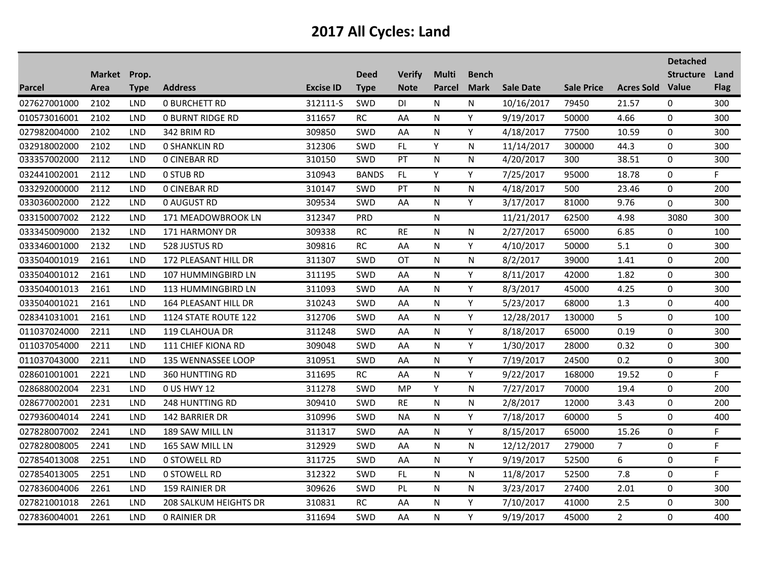|               |              |            |                              |                  |              |               |              |              |                  |                   |                   | <b>Detached</b>  |             |
|---------------|--------------|------------|------------------------------|------------------|--------------|---------------|--------------|--------------|------------------|-------------------|-------------------|------------------|-------------|
|               | Market Prop. |            |                              |                  | <b>Deed</b>  | <b>Verify</b> | <b>Multi</b> | <b>Bench</b> |                  |                   |                   | <b>Structure</b> | Land        |
| <b>Parcel</b> | Area         | Type       | <b>Address</b>               | <b>Excise ID</b> | <b>Type</b>  | <b>Note</b>   | Parcel       | <b>Mark</b>  | <b>Sale Date</b> | <b>Sale Price</b> | <b>Acres Sold</b> | <b>Value</b>     | <b>Flag</b> |
| 027627001000  | 2102         | <b>LND</b> | <b>0 BURCHETT RD</b>         | 312111-S         | SWD          | DI            | N            | N            | 10/16/2017       | 79450             | 21.57             | 0                | 300         |
| 010573016001  | 2102         | <b>LND</b> | <b>0 BURNT RIDGE RD</b>      | 311657           | RC           | AA            | N            | Y            | 9/19/2017        | 50000             | 4.66              | 0                | 300         |
| 027982004000  | 2102         | <b>LND</b> | 342 BRIM RD                  | 309850           | <b>SWD</b>   | AA            | N            | Y            | 4/18/2017        | 77500             | 10.59             | 0                | 300         |
| 032918002000  | 2102         | <b>LND</b> | <b>0 SHANKLIN RD</b>         | 312306           | SWD          | FL.           | Y            | N            | 11/14/2017       | 300000            | 44.3              | $\mathbf 0$      | 300         |
| 033357002000  | 2112         | <b>LND</b> | <b>0 CINEBAR RD</b>          | 310150           | <b>SWD</b>   | PT            | N            | N            | 4/20/2017        | 300               | 38.51             | $\mathbf 0$      | 300         |
| 032441002001  | 2112         | LND        | <b>0 STUB RD</b>             | 310943           | <b>BANDS</b> | FL.           | Y            | Y            | 7/25/2017        | 95000             | 18.78             | 0                | F.          |
| 033292000000  | 2112         | <b>LND</b> | <b>0 CINEBAR RD</b>          | 310147           | <b>SWD</b>   | PT            | N            | N            | 4/18/2017        | 500               | 23.46             | 0                | 200         |
| 033036002000  | 2122         | <b>LND</b> | 0 AUGUST RD                  | 309534           | <b>SWD</b>   | AA            | N            | Y            | 3/17/2017        | 81000             | 9.76              | 0                | 300         |
| 033150007002  | 2122         | <b>LND</b> | 171 MEADOWBROOK LN           | 312347           | <b>PRD</b>   |               | N            |              | 11/21/2017       | 62500             | 4.98              | 3080             | 300         |
| 033345009000  | 2132         | <b>LND</b> | 171 HARMONY DR               | 309338           | RC           | <b>RE</b>     | N            | N            | 2/27/2017        | 65000             | 6.85              | 0                | 100         |
| 033346001000  | 2132         | <b>LND</b> | 528 JUSTUS RD                | 309816           | <b>RC</b>    | AA            | N            | Y            | 4/10/2017        | 50000             | 5.1               | 0                | 300         |
| 033504001019  | 2161         | LND        | 172 PLEASANT HILL DR         | 311307           | SWD          | <b>OT</b>     | N            | N            | 8/2/2017         | 39000             | 1.41              | 0                | 200         |
| 033504001012  | 2161         | <b>LND</b> | 107 HUMMINGBIRD LN           | 311195           | <b>SWD</b>   | AA            | N            | Y            | 8/11/2017        | 42000             | 1.82              | $\boldsymbol{0}$ | 300         |
| 033504001013  | 2161         | <b>LND</b> | 113 HUMMINGBIRD LN           | 311093           | SWD          | AA            | N            | Y            | 8/3/2017         | 45000             | 4.25              | $\Omega$         | 300         |
| 033504001021  | 2161         | <b>LND</b> | 164 PLEASANT HILL DR         | 310243           | <b>SWD</b>   | AA            | N            | Y            | 5/23/2017        | 68000             | 1.3               | $\mathbf 0$      | 400         |
| 028341031001  | 2161         | <b>LND</b> | 1124 STATE ROUTE 122         | 312706           | SWD          | AA            | N            | Y            | 12/28/2017       | 130000            | 5                 | 0                | 100         |
| 011037024000  | 2211         | <b>LND</b> | 119 CLAHOUA DR               | 311248           | <b>SWD</b>   | AA            | N            | Y            | 8/18/2017        | 65000             | 0.19              | 0                | 300         |
| 011037054000  | 2211         | <b>LND</b> | 111 CHIEF KIONA RD           | 309048           | SWD          | AA            | N            | Y            | 1/30/2017        | 28000             | 0.32              | 0                | 300         |
| 011037043000  | 2211         | <b>LND</b> | 135 WENNASSEE LOOP           | 310951           | <b>SWD</b>   | AA            | N            | Y            | 7/19/2017        | 24500             | 0.2               | $\Omega$         | 300         |
| 028601001001  | 2221         | <b>LND</b> | 360 HUNTTING RD              | 311695           | RC           | AA            | N            | Y            | 9/22/2017        | 168000            | 19.52             | 0                | F.          |
| 028688002004  | 2231         | <b>LND</b> | 0 US HWY 12                  | 311278           | SWD          | MP            | Υ            | N            | 7/27/2017        | 70000             | 19.4              | 0                | 200         |
| 028677002001  | 2231         | <b>LND</b> | 248 HUNTTING RD              | 309410           | SWD          | <b>RE</b>     | N            | N            | 2/8/2017         | 12000             | 3.43              | 0                | 200         |
| 027936004014  | 2241         | <b>LND</b> | 142 BARRIER DR               | 310996           | <b>SWD</b>   | NA            | N            | Y            | 7/18/2017        | 60000             | 5                 | 0                | 400         |
| 027828007002  | 2241         | <b>LND</b> | 189 SAW MILL LN              | 311317           | SWD          | AA            | N            | Y            | 8/15/2017        | 65000             | 15.26             | 0                | F           |
| 027828008005  | 2241         | <b>LND</b> | 165 SAW MILL LN              | 312929           | <b>SWD</b>   | AA            | N            | N            | 12/12/2017       | 279000            | $\overline{7}$    | 0                | F           |
| 027854013008  | 2251         | <b>LND</b> | <b>0 STOWELL RD</b>          | 311725           | <b>SWD</b>   | AA            | N            | Y            | 9/19/2017        | 52500             | 6                 | 0                | F           |
| 027854013005  | 2251         | <b>LND</b> | <b>0 STOWELL RD</b>          | 312322           | <b>SWD</b>   | FL            | N            | N            | 11/8/2017        | 52500             | 7.8               | 0                | F.          |
| 027836004006  | 2261         | <b>LND</b> | 159 RAINIER DR               | 309626           | <b>SWD</b>   | PL            | N            | N            | 3/23/2017        | 27400             | 2.01              | 0                | 300         |
| 027821001018  | 2261         | <b>LND</b> | <b>208 SALKUM HEIGHTS DR</b> | 310831           | RC           | AA            | N            | Y            | 7/10/2017        | 41000             | 2.5               | 0                | 300         |
| 027836004001  | 2261         | <b>LND</b> | <b>0 RAINIER DR</b>          | 311694           | <b>SWD</b>   | AA            | N            | Y            | 9/19/2017        | 45000             | $2^{\circ}$       | 0                | 400         |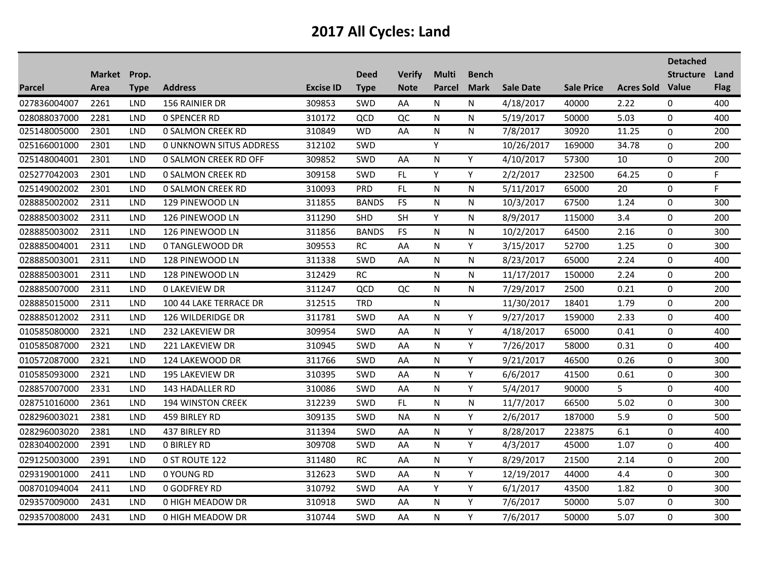|              |              |             |                                |                  |              |               |              |              |                  |                   |                         | <b>Detached</b>  |             |
|--------------|--------------|-------------|--------------------------------|------------------|--------------|---------------|--------------|--------------|------------------|-------------------|-------------------------|------------------|-------------|
|              | Market Prop. |             |                                |                  | <b>Deed</b>  | <b>Verify</b> | <b>Multi</b> | <b>Bench</b> |                  |                   |                         | <b>Structure</b> | Land        |
| Parcel       | Area         | <b>Type</b> | <b>Address</b>                 | <b>Excise ID</b> | <b>Type</b>  | <b>Note</b>   | Parcel       | <b>Mark</b>  | <b>Sale Date</b> | <b>Sale Price</b> | <b>Acres Sold Value</b> |                  | <b>Flag</b> |
| 027836004007 | 2261         | <b>LND</b>  | 156 RAINIER DR                 | 309853           | <b>SWD</b>   | AA            | N            | N            | 4/18/2017        | 40000             | 2.22                    | 0                | 400         |
| 028088037000 | 2281         | <b>LND</b>  | <b>0 SPENCER RD</b>            | 310172           | QCD          | QC            | N            | N            | 5/19/2017        | 50000             | 5.03                    | 0                | 400         |
| 025148005000 | 2301         | <b>LND</b>  | <b>0 SALMON CREEK RD</b>       | 310849           | <b>WD</b>    | AA            | N            | N            | 7/8/2017         | 30920             | 11.25                   | 0                | 200         |
| 025166001000 | 2301         | <b>LND</b>  | <b>0 UNKNOWN SITUS ADDRESS</b> | 312102           | <b>SWD</b>   |               | Y            |              | 10/26/2017       | 169000            | 34.78                   | 0                | 200         |
| 025148004001 | 2301         | <b>LND</b>  | 0 SALMON CREEK RD OFF          | 309852           | <b>SWD</b>   | AA            | N            | Y            | 4/10/2017        | 57300             | 10                      | 0                | 200         |
| 025277042003 | 2301         | <b>LND</b>  | <b>0 SALMON CREEK RD</b>       | 309158           | <b>SWD</b>   | FL.           | Y            | Y            | 2/2/2017         | 232500            | 64.25                   | 0                | F.          |
| 025149002002 | 2301         | LND         | <b>0 SALMON CREEK RD</b>       | 310093           | PRD          | FL            | N            | N            | 5/11/2017        | 65000             | 20                      | 0                | F.          |
| 028885002002 | 2311         | <b>LND</b>  | 129 PINEWOOD LN                | 311855           | <b>BANDS</b> | <b>FS</b>     | N            | N            | 10/3/2017        | 67500             | 1.24                    | 0                | 300         |
| 028885003002 | 2311         | <b>LND</b>  | 126 PINEWOOD LN                | 311290           | SHD          | <b>SH</b>     | Y            | N            | 8/9/2017         | 115000            | 3.4                     | $\mathbf 0$      | 200         |
| 028885003002 | 2311         | <b>LND</b>  | 126 PINEWOOD LN                | 311856           | <b>BANDS</b> | <b>FS</b>     | N            | N            | 10/2/2017        | 64500             | 2.16                    | 0                | 300         |
| 028885004001 | 2311         | <b>LND</b>  | 0 TANGLEWOOD DR                | 309553           | $\sf RC$     | AA            | N            | Y            | 3/15/2017        | 52700             | 1.25                    | 0                | 300         |
| 028885003001 | 2311         | <b>LND</b>  | 128 PINEWOOD LN                | 311338           | SWD          | AA            | N            | N            | 8/23/2017        | 65000             | 2.24                    | 0                | 400         |
| 028885003001 | 2311         | <b>LND</b>  | 128 PINEWOOD LN                | 312429           | RC           |               | N            | N            | 11/17/2017       | 150000            | 2.24                    | $\mathbf 0$      | 200         |
| 028885007000 | 2311         | <b>LND</b>  | <b>0 LAKEVIEW DR</b>           | 311247           | QCD          | QC            | N            | N            | 7/29/2017        | 2500              | 0.21                    | 0                | 200         |
| 028885015000 | 2311         | <b>LND</b>  | 100 44 LAKE TERRACE DR         | 312515           | <b>TRD</b>   |               | N            |              | 11/30/2017       | 18401             | 1.79                    | 0                | 200         |
| 028885012002 | 2311         | <b>LND</b>  | 126 WILDERIDGE DR              | 311781           | SWD          | AA            | N            | Y            | 9/27/2017        | 159000            | 2.33                    | 0                | 400         |
| 010585080000 | 2321         | <b>LND</b>  | 232 LAKEVIEW DR                | 309954           | <b>SWD</b>   | AA            | N            | Y            | 4/18/2017        | 65000             | 0.41                    | $\mathbf 0$      | 400         |
| 010585087000 | 2321         | <b>LND</b>  | 221 LAKEVIEW DR                | 310945           | SWD          | AA            | N            | Y            | 7/26/2017        | 58000             | 0.31                    | 0                | 400         |
| 010572087000 | 2321         | LND         | 124 LAKEWOOD DR                | 311766           | <b>SWD</b>   | AA            | N            | Y            | 9/21/2017        | 46500             | 0.26                    | 0                | 300         |
| 010585093000 | 2321         | <b>LND</b>  | 195 LAKEVIEW DR                | 310395           | <b>SWD</b>   | AA            | N            | Y            | 6/6/2017         | 41500             | 0.61                    | 0                | 300         |
| 028857007000 | 2331         | <b>LND</b>  | 143 HADALLER RD                | 310086           | <b>SWD</b>   | AA            | N            | Y            | 5/4/2017         | 90000             | 5                       | 0                | 400         |
| 028751016000 | 2361         | LND         | <b>194 WINSTON CREEK</b>       | 312239           | SWD          | FL            | N            | N            | 11/7/2017        | 66500             | 5.02                    | 0                | 300         |
| 028296003021 | 2381         | <b>LND</b>  | 459 BIRLEY RD                  | 309135           | <b>SWD</b>   | <b>NA</b>     | N            | Y            | 2/6/2017         | 187000            | 5.9                     | 0                | 500         |
| 028296003020 | 2381         | <b>LND</b>  | 437 BIRLEY RD                  | 311394           | SWD          | AA            | N            | Υ            | 8/28/2017        | 223875            | 6.1                     | 0                | 400         |
| 028304002000 | 2391         | <b>LND</b>  | <b>0 BIRLEY RD</b>             | 309708           | SWD          | AA            | N            | Y            | 4/3/2017         | 45000             | 1.07                    | 0                | 400         |
| 029125003000 | 2391         | <b>LND</b>  | 0 ST ROUTE 122                 | 311480           | RC           | AA            | N            | Y            | 8/29/2017        | 21500             | 2.14                    | 0                | 200         |
| 029319001000 | 2411         | <b>LND</b>  | 0 YOUNG RD                     | 312623           | <b>SWD</b>   | AA            | N            | Y            | 12/19/2017       | 44000             | 4.4                     | 0                | 300         |
| 008701094004 | 2411         | <b>LND</b>  | <b>0 GODFREY RD</b>            | 310792           | SWD          | AA            | Y            | Y            | 6/1/2017         | 43500             | 1.82                    | 0                | 300         |
| 029357009000 | 2431         | <b>LND</b>  | 0 HIGH MEADOW DR               | 310918           | <b>SWD</b>   | AA            | N            | Y            | 7/6/2017         | 50000             | 5.07                    | 0                | 300         |
| 029357008000 | 2431         | <b>LND</b>  | 0 HIGH MEADOW DR               | 310744           | <b>SWD</b>   | AA            | N            | Y            | 7/6/2017         | 50000             | 5.07                    | $\Omega$         | 300         |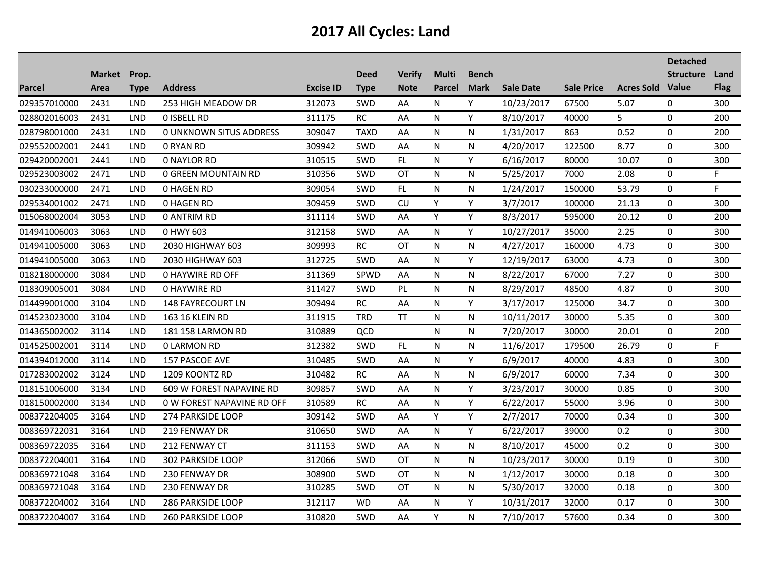|               |                      |            |                                |                  |                            |                              |                               |                             |                  |                   |                         | <b>Detached</b>  |                     |
|---------------|----------------------|------------|--------------------------------|------------------|----------------------------|------------------------------|-------------------------------|-----------------------------|------------------|-------------------|-------------------------|------------------|---------------------|
| <b>Parcel</b> | Market Prop.<br>Area | Type       | <b>Address</b>                 | <b>Excise ID</b> | <b>Deed</b><br><b>Type</b> | <b>Verify</b><br><b>Note</b> | <b>Multi</b><br><b>Parcel</b> | <b>Bench</b><br><b>Mark</b> | <b>Sale Date</b> | <b>Sale Price</b> | <b>Acres Sold Value</b> | <b>Structure</b> | Land<br><b>Flag</b> |
| 029357010000  | 2431                 | <b>LND</b> | 253 HIGH MEADOW DR             | 312073           | SWD                        | AA                           | N                             | Y                           | 10/23/2017       | 67500             | 5.07                    | 0                | 300                 |
| 028802016003  | 2431                 | <b>LND</b> | <b>O ISBELL RD</b>             | 311175           | <b>RC</b>                  | AA                           | N                             | Y                           | 8/10/2017        | 40000             | 5                       | $\mathbf 0$      | 200                 |
| 028798001000  | 2431                 | <b>LND</b> | <b>0 UNKNOWN SITUS ADDRESS</b> | 309047           | <b>TAXD</b>                | AA                           | N                             | N                           | 1/31/2017        | 863               | 0.52                    | $\Omega$         | 200                 |
| 029552002001  | 2441                 | <b>LND</b> | 0 RYAN RD                      | 309942           | <b>SWD</b>                 | AA                           | N                             | N                           | 4/20/2017        | 122500            | 8.77                    | $\mathbf 0$      | 300                 |
| 029420002001  | 2441                 | <b>LND</b> | <b>0 NAYLOR RD</b>             | 310515           | SWD                        | FL                           | N                             | Y                           | 6/16/2017        | 80000             | 10.07                   | 0                | 300                 |
| 029523003002  | 2471                 | <b>LND</b> | 0 GREEN MOUNTAIN RD            | 310356           | <b>SWD</b>                 | <b>OT</b>                    | N                             | N                           | 5/25/2017        | 7000              | 2.08                    | $\mathbf 0$      | F.                  |
| 030233000000  | 2471                 | LND        | <b>0 HAGEN RD</b>              | 309054           | SWD                        | FL.                          | N                             | N                           | 1/24/2017        | 150000            | 53.79                   | 0                | F                   |
| 029534001002  | 2471                 | <b>LND</b> | <b>0 HAGEN RD</b>              | 309459           | <b>SWD</b>                 | <b>CU</b>                    | Y                             | Y                           | 3/7/2017         | 100000            | 21.13                   | $\Omega$         | 300                 |
| 015068002004  | 3053                 | <b>LND</b> | <b>0 ANTRIM RD</b>             | 311114           | SWD                        | AA                           | Y                             | Y                           | 8/3/2017         | 595000            | 20.12                   | $\pmb{0}$        | 200                 |
| 014941006003  | 3063                 | LND        | 0 HWY 603                      | 312158           | SWD                        | AA                           | N                             | Y                           | 10/27/2017       | 35000             | 2.25                    | 0                | 300                 |
| 014941005000  | 3063                 | <b>LND</b> | 2030 HIGHWAY 603               | 309993           | <b>RC</b>                  | <b>OT</b>                    | N                             | N                           | 4/27/2017        | 160000            | 4.73                    | 0                | 300                 |
| 014941005000  | 3063                 | <b>LND</b> | 2030 HIGHWAY 603               | 312725           | <b>SWD</b>                 | AA                           | N                             | Y                           | 12/19/2017       | 63000             | 4.73                    | $\mathbf 0$      | 300                 |
| 018218000000  | 3084                 | <b>LND</b> | <b>0 HAYWIRE RD OFF</b>        | 311369           | SPWD                       | AA                           | N                             | N                           | 8/22/2017        | 67000             | 7.27                    | $\mathbf 0$      | 300                 |
| 018309005001  | 3084                 | <b>LND</b> | <b>0 HAYWIRE RD</b>            | 311427           | <b>SWD</b>                 | PL                           | N                             | N                           | 8/29/2017        | 48500             | 4.87                    | 0                | 300                 |
| 014499001000  | 3104                 | <b>LND</b> | <b>148 FAYRECOURT LN</b>       | 309494           | <b>RC</b>                  | AA                           | N                             | Y                           | 3/17/2017        | 125000            | 34.7                    | $\Omega$         | 300                 |
| 014523023000  | 3104                 | <b>LND</b> | 163 16 KLEIN RD                | 311915           | <b>TRD</b>                 | TΤ                           | N                             | N                           | 10/11/2017       | 30000             | 5.35                    | 0                | 300                 |
| 014365002002  | 3114                 | LND        | 181 158 LARMON RD              | 310889           | QCD                        |                              | N                             | N                           | 7/20/2017        | 30000             | 20.01                   | $\boldsymbol{0}$ | 200                 |
| 014525002001  | 3114                 | <b>LND</b> | <b>0 LARMON RD</b>             | 312382           | SWD                        | FL                           | N                             | N                           | 11/6/2017        | 179500            | 26.79                   | 0                | F.                  |
| 014394012000  | 3114                 | <b>LND</b> | 157 PASCOE AVE                 | 310485           | SWD                        | AA                           | N                             | Y                           | 6/9/2017         | 40000             | 4.83                    | 0                | 300                 |
| 017283002002  | 3124                 | <b>LND</b> | 1209 KOONTZ RD                 | 310482           | <b>RC</b>                  | AA                           | N                             | N                           | 6/9/2017         | 60000             | 7.34                    | $\Omega$         | 300                 |
| 018151006000  | 3134                 | <b>LND</b> | 609 W FOREST NAPAVINE RD       | 309857           | <b>SWD</b>                 | AA                           | N                             | Y                           | 3/23/2017        | 30000             | 0.85                    | $\mathbf 0$      | 300                 |
| 018150002000  | 3134                 | <b>LND</b> | 0 W FOREST NAPAVINE RD OFF     | 310589           | RC                         | AA                           | N                             | Y                           | 6/22/2017        | 55000             | 3.96                    | 0                | 300                 |
| 008372204005  | 3164                 | LND        | 274 PARKSIDE LOOP              | 309142           | <b>SWD</b>                 | AA                           | Y                             | Y                           | 2/7/2017         | 70000             | 0.34                    | $\Omega$         | 300                 |
| 008369722031  | 3164                 | <b>LND</b> | 219 FENWAY DR                  | 310650           | SWD                        | AA                           | N                             | Y                           | 6/22/2017        | 39000             | 0.2                     | 0                | 300                 |
| 008369722035  | 3164                 | <b>LND</b> | 212 FENWAY CT                  | 311153           | SWD                        | AA                           | N                             | N                           | 8/10/2017        | 45000             | 0.2                     | 0                | 300                 |
| 008372204001  | 3164                 | <b>LND</b> | 302 PARKSIDE LOOP              | 312066           | <b>SWD</b>                 | OT                           | N                             | N                           | 10/23/2017       | 30000             | 0.19                    | 0                | 300                 |
| 008369721048  | 3164                 | <b>LND</b> | 230 FENWAY DR                  | 308900           | <b>SWD</b>                 | ОT                           | N                             | N                           | 1/12/2017        | 30000             | 0.18                    | $\Omega$         | 300                 |
| 008369721048  | 3164                 | <b>LND</b> | 230 FENWAY DR                  | 310285           | <b>SWD</b>                 | ОT                           | N                             | N                           | 5/30/2017        | 32000             | 0.18                    | 0                | 300                 |
| 008372204002  | 3164                 | <b>LND</b> | <b>286 PARKSIDE LOOP</b>       | 312117           | <b>WD</b>                  | AA                           | N                             | Y                           | 10/31/2017       | 32000             | 0.17                    | 0                | 300                 |
| 008372204007  | 3164                 | <b>LND</b> | <b>260 PARKSIDE LOOP</b>       | 310820           | <b>SWD</b>                 | AA                           | Y                             | N                           | 7/10/2017        | 57600             | 0.34                    | $\Omega$         | 300                 |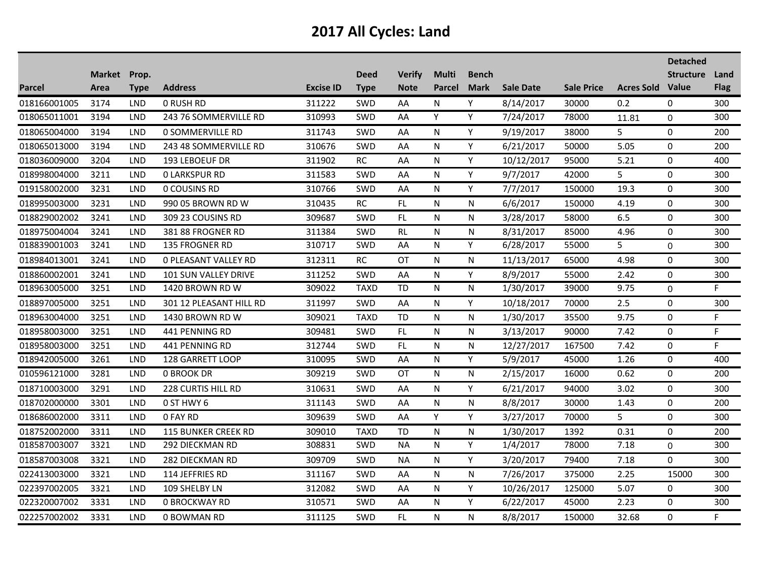|               |                      |             |                             |                  |                            |                              |                               |                             |                  |                   |                         | <b>Detached</b>  |                     |
|---------------|----------------------|-------------|-----------------------------|------------------|----------------------------|------------------------------|-------------------------------|-----------------------------|------------------|-------------------|-------------------------|------------------|---------------------|
| <b>Parcel</b> | Market Prop.<br>Area | <b>Type</b> | <b>Address</b>              | <b>Excise ID</b> | <b>Deed</b><br><b>Type</b> | <b>Verify</b><br><b>Note</b> | <b>Multi</b><br><b>Parcel</b> | <b>Bench</b><br><b>Mark</b> | <b>Sale Date</b> | <b>Sale Price</b> | <b>Acres Sold Value</b> | <b>Structure</b> | Land<br><b>Flag</b> |
| 018166001005  | 3174                 | <b>LND</b>  | <b>0 RUSH RD</b>            | 311222           | SWD                        | AA                           | N                             | Y                           | 8/14/2017        | 30000             | 0.2                     | 0                | 300                 |
| 018065011001  | 3194                 | <b>LND</b>  | 243 76 SOMMERVILLE RD       | 310993           | SWD                        | AA                           | Y                             | Y                           | 7/24/2017        | 78000             | 11.81                   | $\mathbf 0$      | 300                 |
| 018065004000  | 3194                 | <b>LND</b>  | 0 SOMMERVILLE RD            | 311743           | SWD                        | AA                           | N                             | Y                           | 9/19/2017        | 38000             | 5                       | 0                | 200                 |
| 018065013000  | 3194                 | <b>LND</b>  | 243 48 SOMMERVILLE RD       | 310676           | <b>SWD</b>                 | AA                           | N                             | Y                           | 6/21/2017        | 50000             | 5.05                    | 0                | 200                 |
| 018036009000  | 3204                 | <b>LND</b>  | 193 LEBOEUF DR              | 311902           | <b>RC</b>                  | AA                           | N                             | Y                           | 10/12/2017       | 95000             | 5.21                    | 0                | 400                 |
| 018998004000  | 3211                 | <b>LND</b>  | <b>0 LARKSPUR RD</b>        | 311583           | SWD                        | AA                           | N                             | Y                           | 9/7/2017         | 42000             | 5                       | 0                | 300                 |
| 019158002000  | 3231                 | <b>LND</b>  | 0 COUSINS RD                | 310766           | SWD                        | AA                           | N                             | Y                           | 7/7/2017         | 150000            | 19.3                    | 0                | 300                 |
| 018995003000  | 3231                 | <b>LND</b>  | 990 05 BROWN RD W           | 310435           | <b>RC</b>                  | <b>FL</b>                    | N                             | N                           | 6/6/2017         | 150000            | 4.19                    | 0                | 300                 |
| 018829002002  | 3241                 | <b>LND</b>  | 309 23 COUSINS RD           | 309687           | SWD                        | FL.                          | N                             | N                           | 3/28/2017        | 58000             | 6.5                     | $\pmb{0}$        | 300                 |
| 018975004004  | 3241                 | <b>LND</b>  | 381 88 FROGNER RD           | 311384           | SWD                        | RL                           | N                             | N                           | 8/31/2017        | 85000             | 4.96                    | 0                | 300                 |
| 018839001003  | 3241                 | <b>LND</b>  | 135 FROGNER RD              | 310717           | SWD                        | AA                           | N                             | Y                           | 6/28/2017        | 55000             | 5                       | 0                | 300                 |
| 018984013001  | 3241                 | LND         | <b>0 PLEASANT VALLEY RD</b> | 312311           | <b>RC</b>                  | ОT                           | N                             | N                           | 11/13/2017       | 65000             | 4.98                    | 0                | 300                 |
| 018860002001  | 3241                 | <b>LND</b>  | 101 SUN VALLEY DRIVE        | 311252           | SWD                        | AA                           | N                             | Y                           | 8/9/2017         | 55000             | 2.42                    | $\mathbf 0$      | 300                 |
| 018963005000  | 3251                 | LND         | 1420 BROWN RD W             | 309022           | <b>TAXD</b>                | TD                           | N                             | N                           | 1/30/2017        | 39000             | 9.75                    | 0                | F.                  |
| 018897005000  | 3251                 | <b>LND</b>  | 301 12 PLEASANT HILL RD     | 311997           | SWD                        | AA                           | N                             | Y                           | 10/18/2017       | 70000             | 2.5                     | 0                | 300                 |
| 018963004000  | 3251                 | LND         | 1430 BROWN RD W             | 309021           | <b>TAXD</b>                | <b>TD</b>                    | N                             | N                           | 1/30/2017        | 35500             | 9.75                    | 0                | F.                  |
| 018958003000  | 3251                 | <b>LND</b>  | 441 PENNING RD              | 309481           | SWD                        | FL                           | N                             | N                           | 3/13/2017        | 90000             | 7.42                    | 0                | F                   |
| 018958003000  | 3251                 | LND         | 441 PENNING RD              | 312744           | SWD                        | FL                           | N                             | N                           | 12/27/2017       | 167500            | 7.42                    | 0                | F.                  |
| 018942005000  | 3261                 | <b>LND</b>  | 128 GARRETT LOOP            | 310095           | SWD                        | AA                           | N                             | Y                           | 5/9/2017         | 45000             | 1.26                    | 0                | 400                 |
| 010596121000  | 3281                 | <b>LND</b>  | <b>0 BROOK DR</b>           | 309219           | <b>SWD</b>                 | <b>OT</b>                    | N                             | N                           | 2/15/2017        | 16000             | 0.62                    | 0                | 200                 |
| 018710003000  | 3291                 | <b>LND</b>  | 228 CURTIS HILL RD          | 310631           | SWD                        | AA                           | N                             | Y                           | 6/21/2017        | 94000             | 3.02                    | $\pmb{0}$        | 300                 |
| 018702000000  | 3301                 | <b>LND</b>  | 0 ST HWY 6                  | 311143           | SWD                        | AA                           | N                             | N                           | 8/8/2017         | 30000             | 1.43                    | 0                | 200                 |
| 018686002000  | 3311                 | <b>LND</b>  | 0 FAY RD                    | 309639           | <b>SWD</b>                 | AA                           | Y                             | Υ                           | 3/27/2017        | 70000             | 5                       | 0                | 300                 |
| 018752002000  | 3311                 | <b>LND</b>  | <b>115 BUNKER CREEK RD</b>  | 309010           | <b>TAXD</b>                | <b>TD</b>                    | N                             | N                           | 1/30/2017        | 1392              | 0.31                    | 0                | 200                 |
| 018587003007  | 3321                 | <b>LND</b>  | 292 DIECKMAN RD             | 308831           | SWD                        | <b>NA</b>                    | N                             | Y                           | 1/4/2017         | 78000             | 7.18                    | 0                | 300                 |
| 018587003008  | 3321                 | <b>LND</b>  | 282 DIECKMAN RD             | 309709           | <b>SWD</b>                 | <b>NA</b>                    | N                             | Y                           | 3/20/2017        | 79400             | 7.18                    | 0                | 300                 |
| 022413003000  | 3321                 | <b>LND</b>  | 114 JEFFRIES RD             | 311167           | <b>SWD</b>                 | AA                           | N                             | N                           | 7/26/2017        | 375000            | 2.25                    | 15000            | 300                 |
| 022397002005  | 3321                 | <b>LND</b>  | 109 SHELBY LN               | 312082           | SWD                        | AA                           | N                             | Y                           | 10/26/2017       | 125000            | 5.07                    | 0                | 300                 |
| 022320007002  | 3331                 | <b>LND</b>  | <b>0 BROCKWAY RD</b>        | 310571           | <b>SWD</b>                 | AA                           | N                             | Y                           | 6/22/2017        | 45000             | 2.23                    | 0                | 300                 |
| 022257002002  | 3331                 | <b>LND</b>  | 0 BOWMAN RD                 | 311125           | <b>SWD</b>                 | FL                           | N                             | N                           | 8/8/2017         | 150000            | 32.68                   | $\Omega$         | F.                  |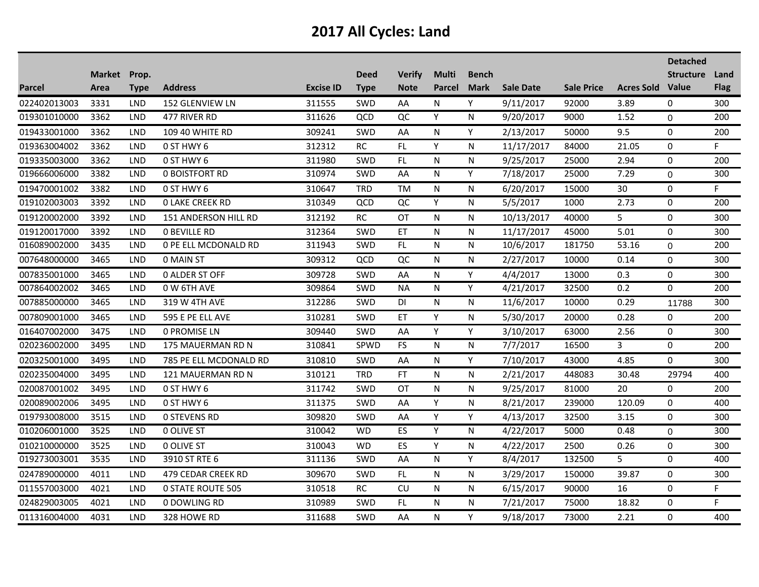|               |              |            |                             |                  |             |                 |              |              |                  |                   |                         | <b>Detached</b>  |             |
|---------------|--------------|------------|-----------------------------|------------------|-------------|-----------------|--------------|--------------|------------------|-------------------|-------------------------|------------------|-------------|
|               | Market Prop. |            |                             |                  | <b>Deed</b> | <b>Verify</b>   | <b>Multi</b> | <b>Bench</b> |                  |                   |                         | <b>Structure</b> | Land        |
| <b>Parcel</b> | Area         | Type       | <b>Address</b>              | <b>Excise ID</b> | <b>Type</b> | <b>Note</b>     | Parcel       | <b>Mark</b>  | <b>Sale Date</b> | <b>Sale Price</b> | <b>Acres Sold Value</b> |                  | <b>Flag</b> |
| 022402013003  | 3331         | <b>LND</b> | 152 GLENVIEW LN             | 311555           | SWD         | AA              | N            | Y            | 9/11/2017        | 92000             | 3.89                    | 0                | 300         |
| 019301010000  | 3362         | <b>LND</b> | 477 RIVER RD                | 311626           | QCD         | QC              | Y            | N            | 9/20/2017        | 9000              | 1.52                    | 0                | 200         |
| 019433001000  | 3362         | <b>LND</b> | 109 40 WHITE RD             | 309241           | SWD         | AA              | N            | Y            | 2/13/2017        | 50000             | 9.5                     | 0                | 200         |
| 019363004002  | 3362         | <b>LND</b> | 0 ST HWY 6                  | 312312           | <b>RC</b>   | <b>FL</b>       | Y            | N            | 11/17/2017       | 84000             | 21.05                   | 0                | F.          |
| 019335003000  | 3362         | <b>LND</b> | 0 ST HWY 6                  | 311980           | SWD         | FL              | N            | N            | 9/25/2017        | 25000             | 2.94                    | $\pmb{0}$        | 200         |
| 019666006000  | 3382         | <b>LND</b> | 0 BOISTFORT RD              | 310974           | <b>SWD</b>  | AA              | N            | Y            | 7/18/2017        | 25000             | 7.29                    | 0                | 300         |
| 019470001002  | 3382         | LND        | 0 ST HWY 6                  | 310647           | <b>TRD</b>  | <b>TM</b>       | N            | N            | 6/20/2017        | 15000             | 30                      | 0                | F.          |
| 019102003003  | 3392         | <b>LND</b> | <b>0 LAKE CREEK RD</b>      | 310349           | QCD         | QC              | Y            | N            | 5/5/2017         | 1000              | 2.73                    | 0                | 200         |
| 019120002000  | 3392         | <b>LND</b> | <b>151 ANDERSON HILL RD</b> | 312192           | <b>RC</b>   | <b>OT</b>       | N            | N            | 10/13/2017       | 40000             | 5                       | 0                | 300         |
| 019120017000  | 3392         | <b>LND</b> | <b>0 BEVILLE RD</b>         | 312364           | SWD         | ET              | N            | N            | 11/17/2017       | 45000             | 5.01                    | 0                | 300         |
| 016089002000  | 3435         | <b>LND</b> | 0 PE ELL MCDONALD RD        | 311943           | SWD         | $\overline{FL}$ | N            | N            | 10/6/2017        | 181750            | 53.16                   | 0                | 200         |
| 007648000000  | 3465         | <b>LND</b> | 0 MAIN ST                   | 309312           | QCD         | QC              | N            | N            | 2/27/2017        | 10000             | 0.14                    | 0                | 300         |
| 007835001000  | 3465         | <b>LND</b> | 0 ALDER ST OFF              | 309728           | SWD         | AA              | N            | Y            | 4/4/2017         | 13000             | 0.3                     | $\boldsymbol{0}$ | 300         |
| 007864002002  | 3465         | <b>LND</b> | 0 W 6TH AVE                 | 309864           | SWD         | <b>NA</b>       | N            | Y            | 4/21/2017        | 32500             | 0.2                     | $\Omega$         | 200         |
| 007885000000  | 3465         | <b>LND</b> | 319 W 4TH AVE               | 312286           | <b>SWD</b>  | DI              | N            | N            | 11/6/2017        | 10000             | 0.29                    | 11788            | 300         |
| 007809001000  | 3465         | <b>LND</b> | 595 E PE ELL AVE            | 310281           | SWD         | ЕT              | Y            | N            | 5/30/2017        | 20000             | 0.28                    | 0                | 200         |
| 016407002000  | 3475         | LND        | 0 PROMISE LN                | 309440           | SWD         | AA              | Y            | Y            | 3/10/2017        | 63000             | 2.56                    | 0                | 300         |
| 020236002000  | 3495         | <b>LND</b> | 175 MAUERMAN RD N           | 310841           | SPWD        | <b>FS</b>       | N            | N.           | 7/7/2017         | 16500             | 3                       | 0                | 200         |
| 020325001000  | 3495         | <b>LND</b> | 785 PE ELL MCDONALD RD      | 310810           | <b>SWD</b>  | AA              | N            | Y            | 7/10/2017        | 43000             | 4.85                    | $\Omega$         | 300         |
| 020235004000  | 3495         | <b>LND</b> | <b>121 MAUERMAN RD N</b>    | 310121           | <b>TRD</b>  | FT              | N            | N            | 2/21/2017        | 448083            | 30.48                   | 29794            | 400         |
| 020087001002  | 3495         | <b>LND</b> | 0 ST HWY 6                  | 311742           | SWD         | OT              | N            | N            | 9/25/2017        | 81000             | 20                      | 0                | 200         |
| 020089002006  | 3495         | <b>LND</b> | 0 ST HWY 6                  | 311375           | SWD         | AA              | Y            | N            | 8/21/2017        | 239000            | 120.09                  | 0                | 400         |
| 019793008000  | 3515         | LND        | <b>0 STEVENS RD</b>         | 309820           | <b>SWD</b>  | AA              | Y            | Υ            | 4/13/2017        | 32500             | 3.15                    | 0                | 300         |
| 010206001000  | 3525         | <b>LND</b> | 0 OLIVE ST                  | 310042           | <b>WD</b>   | $\overline{ES}$ | Y            | N            | 4/22/2017        | 5000              | 0.48                    | 0                | 300         |
| 010210000000  | 3525         | <b>LND</b> | 0 OLIVE ST                  | 310043           | <b>WD</b>   | ES              | Y            | N            | 4/22/2017        | 2500              | 0.26                    | 0                | 300         |
| 019273003001  | 3535         | <b>LND</b> | 3910 ST RTE 6               | 311136           | SWD         | AA              | N            | Y            | 8/4/2017         | 132500            | 5                       | 0                | 400         |
| 024789000000  | 4011         | <b>LND</b> | 479 CEDAR CREEK RD          | 309670           | <b>SWD</b>  | <b>FL</b>       | N            | N            | 3/29/2017        | 150000            | 39.87                   | 0                | 300         |
| 011557003000  | 4021         | <b>LND</b> | <b>0 STATE ROUTE 505</b>    | 310518           | RC          | CU              | N            | N            | 6/15/2017        | 90000             | 16                      | 0                | F           |
| 024829003005  | 4021         | <b>LND</b> | 0 DOWLING RD                | 310989           | SWD         | FL              | N            | N            | 7/21/2017        | 75000             | 18.82                   | 0                | F.          |
| 011316004000  | 4031         | <b>LND</b> | 328 HOWE RD                 | 311688           | SWD         | AA              | N            | Y            | 9/18/2017        | 73000             | 2.21                    | 0                | 400         |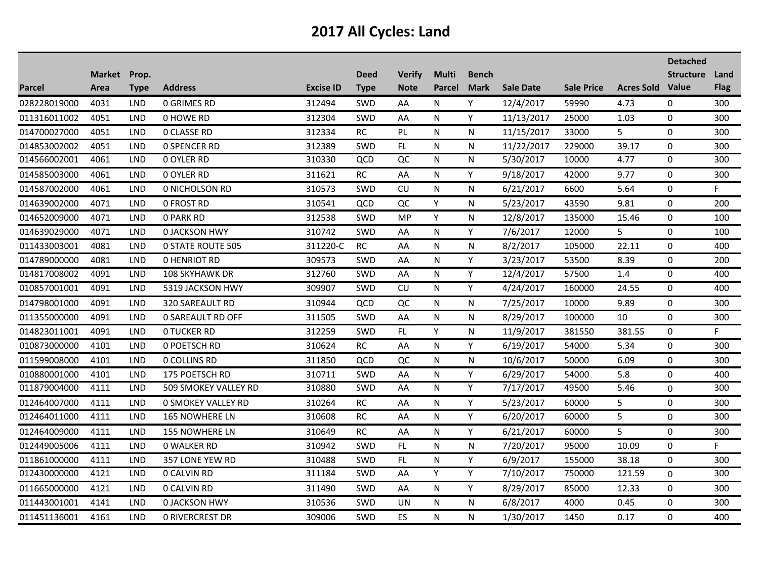|              |              |             |                           |                  |             |               |               |              |                  |                   |                         | <b>Detached</b>  |             |
|--------------|--------------|-------------|---------------------------|------------------|-------------|---------------|---------------|--------------|------------------|-------------------|-------------------------|------------------|-------------|
|              | Market Prop. |             |                           |                  | <b>Deed</b> | <b>Verify</b> | <b>Multi</b>  | <b>Bench</b> | <b>Sale Date</b> |                   |                         | <b>Structure</b> | Land        |
| Parcel       | Area         | <b>Type</b> | <b>Address</b>            | <b>Excise ID</b> | <b>Type</b> | <b>Note</b>   | <b>Parcel</b> | <b>Mark</b>  |                  | <b>Sale Price</b> | <b>Acres Sold Value</b> |                  | <b>Flag</b> |
| 028228019000 | 4031         | <b>LND</b>  | <b>0 GRIMES RD</b>        | 312494           | SWD         | AA            | N             | Y            | 12/4/2017        | 59990             | 4.73                    | 0                | 300         |
| 011316011002 | 4051         | <b>LND</b>  | <b>0 HOWE RD</b>          | 312304           | <b>SWD</b>  | AA            | N             | Y            | 11/13/2017       | 25000             | 1.03                    | 0                | 300         |
| 014700027000 | 4051         | <b>LND</b>  | <b>0 CLASSE RD</b>        | 312334           | RC          | PL            | N             | N            | 11/15/2017       | 33000             | 5                       | 0                | 300         |
| 014853002002 | 4051         | <b>LND</b>  | <b>0 SPENCER RD</b>       | 312389           | <b>SWD</b>  | FL            | N             | N            | 11/22/2017       | 229000            | 39.17                   | 0                | 300         |
| 014566002001 | 4061         | <b>LND</b>  | 0 OYLER RD                | 310330           | QCD         | QC            | N             | N            | 5/30/2017        | 10000             | 4.77                    | 0                | 300         |
| 014585003000 | 4061         | <b>LND</b>  | 0 OYLER RD                | 311621           | <b>RC</b>   | AA            | N             | Y            | 9/18/2017        | 42000             | 9.77                    | 0                | 300         |
| 014587002000 | 4061         | <b>LND</b>  | 0 NICHOLSON RD            | 310573           | <b>SWD</b>  | CU            | N             | N            | 6/21/2017        | 6600              | 5.64                    | 0                | F           |
| 014639002000 | 4071         | LND         | <b>0 FROST RD</b>         | 310541           | QCD         | QC            | Y             | N            | 5/23/2017        | 43590             | 9.81                    | $\mathbf 0$      | 200         |
| 014652009000 | 4071         | <b>LND</b>  | <b>0 PARK RD</b>          | 312538           | SWD         | MP            | Y             | N            | 12/8/2017        | 135000            | 15.46                   | $\mathbf 0$      | 100         |
| 014639029000 | 4071         | <b>LND</b>  | <b>0 JACKSON HWY</b>      | 310742           | <b>SWD</b>  | AA            | N             | Y            | 7/6/2017         | 12000             | 5                       | 0                | 100         |
| 011433003001 | 4081         | <b>LND</b>  | <b>0 STATE ROUTE 505</b>  | 311220-C         | <b>RC</b>   | AA            | N             | N            | 8/2/2017         | 105000            | 22.11                   | $\mathbf 0$      | 400         |
| 014789000000 | 4081         | <b>LND</b>  | <b>0 HENRIOT RD</b>       | 309573           | SWD         | AA            | N             | Y            | 3/23/2017        | 53500             | 8.39                    | 0                | 200         |
| 014817008002 | 4091         | <b>LND</b>  | <b>108 SKYHAWK DR</b>     | 312760           | SWD         | AA            | N             | Y            | 12/4/2017        | 57500             | 1.4                     | $\pmb{0}$        | 400         |
| 010857001001 | 4091         | <b>LND</b>  | 5319 JACKSON HWY          | 309907           | SWD         | CU            | N             | Y            | 4/24/2017        | 160000            | 24.55                   | $\mathbf 0$      | 400         |
| 014798001000 | 4091         | <b>LND</b>  | 320 SAREAULT RD           | 310944           | QCD         | QC            | N             | N            | 7/25/2017        | 10000             | 9.89                    | 0                | 300         |
| 011355000000 | 4091         | <b>LND</b>  | <b>0 SAREAULT RD OFF</b>  | 311505           | SWD         | AA            | N             | N            | 8/29/2017        | 100000            | 10                      | 0                | 300         |
| 014823011001 | 4091         | <b>LND</b>  | <b>0 TUCKER RD</b>        | 312259           | <b>SWD</b>  | FL.           | Υ             | N            | 11/9/2017        | 381550            | 381.55                  | 0                | F           |
| 010873000000 | 4101         | <b>LND</b>  | 0 POETSCH RD              | 310624           | RC          | AA            | N             | Y            | 6/19/2017        | 54000             | 5.34                    | 0                | 300         |
| 011599008000 | 4101         | <b>LND</b>  | 0 COLLINS RD              | 311850           | QCD         | QC            | N             | N            | 10/6/2017        | 50000             | 6.09                    | 0                | 300         |
| 010880001000 | 4101         | <b>LND</b>  | 175 POETSCH RD            | 310711           | SWD         | AA            | N             | Y            | 6/29/2017        | 54000             | 5.8                     | 0                | 400         |
| 011879004000 | 4111         | <b>LND</b>  | 509 SMOKEY VALLEY RD      | 310880           | SWD         | AA            | N             | Y            | 7/17/2017        | 49500             | 5.46                    | $\pmb{0}$        | 300         |
| 012464007000 | 4111         | LND         | <b>0 SMOKEY VALLEY RD</b> | 310264           | RC          | AA            | N             | Y            | 5/23/2017        | 60000             | 5                       | 0                | 300         |
| 012464011000 | 4111         | <b>LND</b>  | 165 NOWHERE LN            | 310608           | $\sf RC$    | AA            | N             | Y            | 6/20/2017        | 60000             | 5                       | 0                | 300         |
| 012464009000 | 4111         | <b>LND</b>  | 155 NOWHERE LN            | 310649           | <b>RC</b>   | AA            | N             | Y            | 6/21/2017        | 60000             | 5                       | 0                | 300         |
| 012449005006 | 4111         | <b>LND</b>  | 0 WALKER RD               | 310942           | SWD         | FL.           | N             | N            | 7/20/2017        | 95000             | 10.09                   | 0                | F           |
| 011861000000 | 4111         | <b>LND</b>  | 357 LONE YEW RD           | 310488           | SWD         | FL            | N             | Y.           | 6/9/2017         | 155000            | 38.18                   | 0                | 300         |
| 012430000000 | 4121         | <b>LND</b>  | 0 CALVIN RD               | 311184           | <b>SWD</b>  | AA            | Y             | Y            | 7/10/2017        | 750000            | 121.59                  | 0                | 300         |
| 011665000000 | 4121         | <b>LND</b>  | 0 CALVIN RD               | 311490           | <b>SWD</b>  | AA            | N             | Y            | 8/29/2017        | 85000             | 12.33                   | 0                | 300         |
| 011443001001 | 4141         | <b>LND</b>  | <b>0 JACKSON HWY</b>      | 310536           | SWD         | UN            | N             | N            | 6/8/2017         | 4000              | 0.45                    | 0                | 300         |
| 011451136001 | 4161         | <b>LND</b>  | <b>0 RIVERCREST DR</b>    | 309006           | SWD         | ES            | N             | N            | 1/30/2017        | 1450              | 0.17                    | 0                | 400         |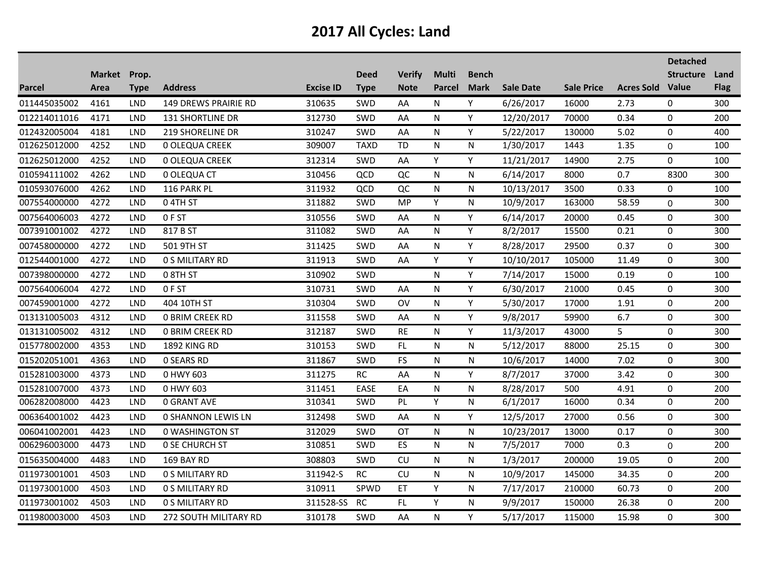|               |              |            |                           |                  |             |               |              |              |                  |                   |                         | <b>Detached</b>  |             |
|---------------|--------------|------------|---------------------------|------------------|-------------|---------------|--------------|--------------|------------------|-------------------|-------------------------|------------------|-------------|
|               | Market Prop. |            |                           |                  | <b>Deed</b> | <b>Verify</b> | <b>Multi</b> | <b>Bench</b> |                  |                   |                         | <b>Structure</b> | Land        |
| <b>Parcel</b> | Area         | Type       | <b>Address</b>            | <b>Excise ID</b> | <b>Type</b> | <b>Note</b>   | Parcel       | <b>Mark</b>  | <b>Sale Date</b> | <b>Sale Price</b> | <b>Acres Sold Value</b> |                  | <b>Flag</b> |
| 011445035002  | 4161         | <b>LND</b> | 149 DREWS PRAIRIE RD      | 310635           | SWD         | AA            | N            | Y            | 6/26/2017        | 16000             | 2.73                    | 0                | 300         |
| 012214011016  | 4171         | <b>LND</b> | 131 SHORTLINE DR          | 312730           | SWD         | AA            | N            | Y            | 12/20/2017       | 70000             | 0.34                    | 0                | 200         |
| 012432005004  | 4181         | <b>LND</b> | 219 SHORELINE DR          | 310247           | SWD         | AA            | N            | Y            | 5/22/2017        | 130000            | 5.02                    | 0                | 400         |
| 012625012000  | 4252         | <b>LND</b> | <b>0 OLEQUA CREEK</b>     | 309007           | <b>TAXD</b> | <b>TD</b>     | N            | N            | 1/30/2017        | 1443              | 1.35                    | $\Omega$         | 100         |
| 012625012000  | 4252         | <b>LND</b> | 0 OLEQUA CREEK            | 312314           | SWD         | AA            | Y            | Y            | 11/21/2017       | 14900             | 2.75                    | 0                | 100         |
| 010594111002  | 4262         | <b>LND</b> | 0 OLEQUA CT               | 310456           | QCD         | QC            | N            | N            | 6/14/2017        | 8000              | 0.7                     | 8300             | 300         |
| 010593076000  | 4262         | <b>LND</b> | 116 PARK PL               | 311932           | QCD         | QC            | N            | N            | 10/13/2017       | 3500              | 0.33                    | 0                | 100         |
| 007554000000  | 4272         | <b>LND</b> | 04TH ST                   | 311882           | SWD         | <b>MP</b>     | Y            | N            | 10/9/2017        | 163000            | 58.59                   | 0                | 300         |
| 007564006003  | 4272         | <b>LND</b> | 0FST                      | 310556           | SWD         | AA            | N            | Y            | 6/14/2017        | 20000             | 0.45                    | $\mathbf 0$      | 300         |
| 007391001002  | 4272         | <b>LND</b> | 817 B ST                  | 311082           | SWD         | AA            | N            | Y            | 8/2/2017         | 15500             | 0.21                    | 0                | 300         |
| 007458000000  | 4272         | <b>LND</b> | 501 9TH ST                | 311425           | SWD         | AA            | N            | Y            | 8/28/2017        | 29500             | 0.37                    | 0                | 300         |
| 012544001000  | 4272         | <b>LND</b> | 0 S MILITARY RD           | 311913           | SWD         | AA            | Y            | Y            | 10/10/2017       | 105000            | 11.49                   | 0                | 300         |
| 007398000000  | 4272         | <b>LND</b> | 0 8TH ST                  | 310902           | SWD         |               | N            | Υ            | 7/14/2017        | 15000             | 0.19                    | $\mathbf 0$      | 100         |
| 007564006004  | 4272         | <b>LND</b> | 0FST                      | 310731           | SWD         | AA            | N            | Y            | 6/30/2017        | 21000             | 0.45                    | 0                | 300         |
| 007459001000  | 4272         | LND        | 404 10TH ST               | 310304           | <b>SWD</b>  | <b>OV</b>     | N            | Υ            | 5/30/2017        | 17000             | 1.91                    | 0                | 200         |
| 013131005003  | 4312         | <b>LND</b> | <b>0 BRIM CREEK RD</b>    | 311558           | SWD         | AA            | N            | Υ            | 9/8/2017         | 59900             | 6.7                     | 0                | 300         |
| 013131005002  | 4312         | LND        | 0 BRIM CREEK RD           | 312187           | SWD         | <b>RE</b>     | N            | Y            | 11/3/2017        | 43000             | 5                       | 0                | 300         |
| 015778002000  | 4353         | LND        | <b>1892 KING RD</b>       | 310153           | SWD         | FL            | N            | N            | 5/12/2017        | 88000             | 25.15                   | 0                | 300         |
| 015202051001  | 4363         | LND        | <b>0 SEARS RD</b>         | 311867           | SWD         | FS            | N            | N            | 10/6/2017        | 14000             | 7.02                    | 0                | 300         |
| 015281003000  | 4373         | <b>LND</b> | 0 HWY 603                 | 311275           | <b>RC</b>   | AA            | N            | Y            | 8/7/2017         | 37000             | 3.42                    | 0                | 300         |
| 015281007000  | 4373         | <b>LND</b> | 0 HWY 603                 | 311451           | <b>EASE</b> | EA            | N            | N            | 8/28/2017        | 500               | 4.91                    | $\pmb{0}$        | 200         |
| 006282008000  | 4423         | LND        | <b>0 GRANT AVE</b>        | 310341           | SWD         | PL            | Y            | N            | 6/1/2017         | 16000             | 0.34                    | 0                | 200         |
| 006364001002  | 4423         | <b>LND</b> | <b>0 SHANNON LEWIS LN</b> | 312498           | <b>SWD</b>  | AA            | N            | Y            | 12/5/2017        | 27000             | 0.56                    | 0                | 300         |
| 006041002001  | 4423         | <b>LND</b> | <b>0 WASHINGTON ST</b>    | 312029           | SWD         | OT            | N            | N            | 10/23/2017       | 13000             | 0.17                    | 0                | 300         |
| 006296003000  | 4473         | <b>LND</b> | <b>0 SE CHURCH ST</b>     | 310851           | SWD         | ES            | N            | N            | 7/5/2017         | 7000              | 0.3                     | 0                | 200         |
| 015635004000  | 4483         | <b>LND</b> | 169 BAY RD                | 308803           | SWD         | CU            | N            | N            | 1/3/2017         | 200000            | 19.05                   | 0                | 200         |
| 011973001001  | 4503         | <b>LND</b> | 0 S MILITARY RD           | 311942-S         | <b>RC</b>   | <b>CU</b>     | N            | N            | 10/9/2017        | 145000            | 34.35                   | 0                | 200         |
| 011973001000  | 4503         | <b>LND</b> | <b>0 S MILITARY RD</b>    | 310911           | SPWD        | ET            | Y            | N            | 7/17/2017        | 210000            | 60.73                   | 0                | 200         |
| 011973001002  | 4503         | <b>LND</b> | 0 S MILITARY RD           | 311528-SS        | <b>RC</b>   | FL            | Y            | N            | 9/9/2017         | 150000            | 26.38                   | 0                | 200         |
| 011980003000  | 4503         | LND        | 272 SOUTH MILITARY RD     | 310178           | SWD         | AA            | N            | Y            | 5/17/2017        | 115000            | 15.98                   | 0                | 300         |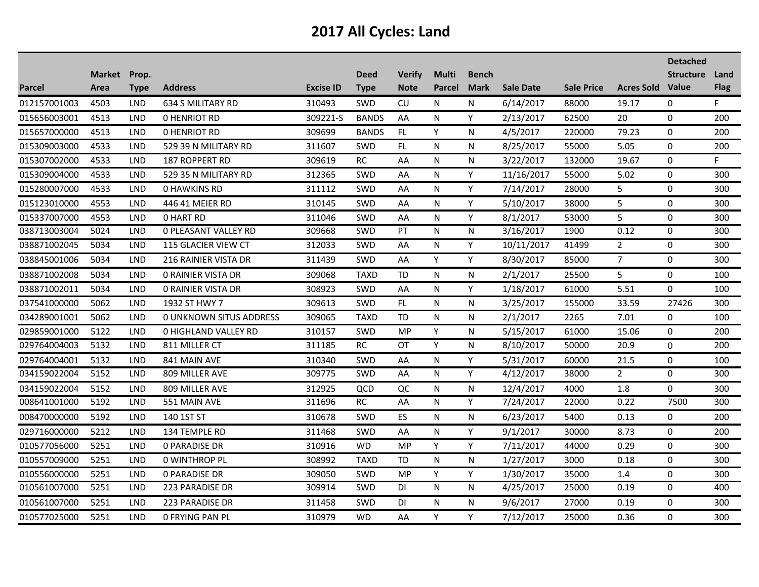|               |              |            |                                |                  |              |               |              |              |                  |                   |                         | <b>Detached</b>  |             |
|---------------|--------------|------------|--------------------------------|------------------|--------------|---------------|--------------|--------------|------------------|-------------------|-------------------------|------------------|-------------|
|               | Market Prop. |            |                                |                  | <b>Deed</b>  | <b>Verify</b> | <b>Multi</b> | <b>Bench</b> |                  |                   |                         | <b>Structure</b> | Land        |
| <b>Parcel</b> | Area         | Type       | <b>Address</b>                 | <b>Excise ID</b> | <b>Type</b>  | <b>Note</b>   | Parcel       | <b>Mark</b>  | <b>Sale Date</b> | <b>Sale Price</b> | <b>Acres Sold Value</b> |                  | <b>Flag</b> |
| 012157001003  | 4503         | <b>LND</b> | 634 S MILITARY RD              | 310493           | SWD          | CU            | N            | N            | 6/14/2017        | 88000             | 19.17                   | 0                | F.          |
| 015656003001  | 4513         | <b>LND</b> | <b>0 HENRIOT RD</b>            | 309221-S         | <b>BANDS</b> | AA            | N            | Y            | 2/13/2017        | 62500             | 20                      | 0                | 200         |
| 015657000000  | 4513         | <b>LND</b> | <b>0 HENRIOT RD</b>            | 309699           | <b>BANDS</b> | FL.           | Y            | N            | 4/5/2017         | 220000            | 79.23                   | 0                | 200         |
| 015309003000  | 4533         | <b>LND</b> | 529 39 N MILITARY RD           | 311607           | SWD          | <b>FL</b>     | N            | N            | 8/25/2017        | 55000             | 5.05                    | 0                | 200         |
| 015307002000  | 4533         | <b>LND</b> | 187 ROPPERT RD                 | 309619           | RC           | AA            | N            | N            | 3/22/2017        | 132000            | 19.67                   | $\mathbf 0$      | F.          |
| 015309004000  | 4533         | <b>LND</b> | 529 35 N MILITARY RD           | 312365           | SWD          | AA            | N            | Y            | 11/16/2017       | 55000             | 5.02                    | 0                | 300         |
| 015280007000  | 4533         | LND        | <b>0 HAWKINS RD</b>            | 311112           | <b>SWD</b>   | AA            | N            | Y            | 7/14/2017        | 28000             | 5                       | 0                | 300         |
| 015123010000  | 4553         | LND        | 446 41 MEIER RD                | 310145           | SWD          | AA            | N            | Υ            | 5/10/2017        | 38000             | 5                       | $\mathbf 0$      | 300         |
| 015337007000  | 4553         | <b>LND</b> | 0 HART RD                      | 311046           | SWD          | AA            | N            | Y            | 8/1/2017         | 53000             | 5                       | $\mathbf 0$      | 300         |
| 038713003004  | 5024         | <b>LND</b> | <b>0 PLEASANT VALLEY RD</b>    | 309668           | SWD          | PT            | N            | N            | 3/16/2017        | 1900              | 0.12                    | $\pmb{0}$        | 300         |
| 038871002045  | 5034         | <b>LND</b> | <b>115 GLACIER VIEW CT</b>     | 312033           | SWD          | AA            | N            | Y            | 10/11/2017       | 41499             | $\overline{2}$          | 0                | 300         |
| 038845001006  | 5034         | <b>LND</b> | 216 RAINIER VISTA DR           | 311439           | SWD          | AA            | Y            | Y            | 8/30/2017        | 85000             | $\overline{7}$          | 0                | 300         |
| 038871002008  | 5034         | <b>LND</b> | <b>0 RAINIER VISTA DR</b>      | 309068           | <b>TAXD</b>  | <b>TD</b>     | N            | N            | 2/1/2017         | 25500             | 5                       | 0                | 100         |
| 038871002011  | 5034         | <b>LND</b> | <b>0 RAINIER VISTA DR</b>      | 308923           | SWD          | AA            | N            | Y            | 1/18/2017        | 61000             | 5.51                    | $\Omega$         | 100         |
| 037541000000  | 5062         | LND        | 1932 ST HWY 7                  | 309613           | <b>SWD</b>   | FL.           | N            | N            | 3/25/2017        | 155000            | 33.59                   | 27426            | 300         |
| 034289001001  | 5062         | <b>LND</b> | <b>0 UNKNOWN SITUS ADDRESS</b> | 309065           | <b>TAXD</b>  | TD            | N            | N            | 2/1/2017         | 2265              | 7.01                    | $\mathbf 0$      | 100         |
| 029859001000  | 5122         | <b>LND</b> | 0 HIGHLAND VALLEY RD           | 310157           | SWD          | MP            | Y            | N            | 5/15/2017        | 61000             | 15.06                   | $\mathbf 0$      | 200         |
| 029764004003  | 5132         | <b>LND</b> | 811 MILLER CT                  | 311185           | RC           | OT            | Y            | N            | 8/10/2017        | 50000             | 20.9                    | 0                | 200         |
| 029764004001  | 5132         | <b>LND</b> | 841 MAIN AVE                   | 310340           | SWD          | AA            | N            | Y            | 5/31/2017        | 60000             | 21.5                    | 0                | 100         |
| 034159022004  | 5152         | <b>LND</b> | 809 MILLER AVE                 | 309775           | <b>SWD</b>   | AA            | N            | Y            | 4/12/2017        | 38000             | $\overline{2}$          | 0                | 300         |
| 034159022004  | 5152         | <b>LND</b> | 809 MILLER AVE                 | 312925           | QCD          | QC            | N            | N            | 12/4/2017        | 4000              | 1.8                     | 0                | 300         |
| 008641001000  | 5192         | <b>LND</b> | 551 MAIN AVE                   | 311696           | RC           | AA            | N            | Y            | 7/24/2017        | 22000             | 0.22                    | 7500             | 300         |
| 008470000000  | 5192         | <b>LND</b> | 140 1ST ST                     | 310678           | SWD          | ES            | N            | N            | 6/23/2017        | 5400              | 0.13                    | 0                | 200         |
| 029716000000  | 5212         | <b>LND</b> | 134 TEMPLE RD                  | 311468           | SWD          | AA            | N            | Y            | 9/1/2017         | 30000             | 8.73                    | 0                | 200         |
| 010577056000  | 5251         | <b>LND</b> | <b>0 PARADISE DR</b>           | 310916           | <b>WD</b>    | <b>MP</b>     | Υ            | Y            | 7/11/2017        | 44000             | 0.29                    | $\pmb{0}$        | 300         |
| 010557009000  | 5251         | <b>LND</b> | <b>0 WINTHROP PL</b>           | 308992           | <b>TAXD</b>  | TD            | N            | N            | 1/27/2017        | 3000              | 0.18                    | 0                | 300         |
| 010556000000  | 5251         | <b>LND</b> | <b>0 PARADISE DR</b>           | 309050           | SWD          | MP.           | Y            | Y            | 1/30/2017        | 35000             | 1.4                     | 0                | 300         |
| 010561007000  | 5251         | <b>LND</b> | 223 PARADISE DR                | 309914           | <b>SWD</b>   | <b>DI</b>     | N            | N.           | 4/25/2017        | 25000             | 0.19                    | 0                | 400         |
| 010561007000  | 5251         | <b>LND</b> | <b>223 PARADISE DR</b>         | 311458           | SWD          | DI            | N            | N            | 9/6/2017         | 27000             | 0.19                    | 0                | 300         |
| 010577025000  | 5251         | <b>LND</b> | <b>0 FRYING PAN PL</b>         | 310979           | <b>WD</b>    | AA            | Y            | Y            | 7/12/2017        | 25000             | 0.36                    | $\Omega$         | 300         |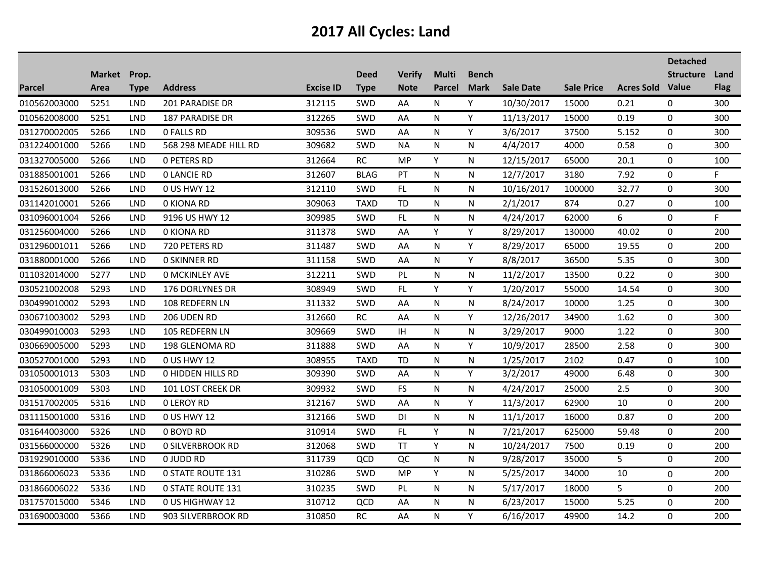|               |                      |             |                          |                  |                            |                              |                               |                             |                  |                   |                         | <b>Detached</b>  |                     |
|---------------|----------------------|-------------|--------------------------|------------------|----------------------------|------------------------------|-------------------------------|-----------------------------|------------------|-------------------|-------------------------|------------------|---------------------|
| <b>Parcel</b> | Market Prop.<br>Area | <b>Type</b> | <b>Address</b>           | <b>Excise ID</b> | <b>Deed</b><br><b>Type</b> | <b>Verify</b><br><b>Note</b> | <b>Multi</b><br><b>Parcel</b> | <b>Bench</b><br><b>Mark</b> | <b>Sale Date</b> | <b>Sale Price</b> | <b>Acres Sold Value</b> | <b>Structure</b> | Land<br><b>Flag</b> |
| 010562003000  | 5251                 | <b>LND</b>  | 201 PARADISE DR          | 312115           | SWD                        | AA                           | N                             | Y                           | 10/30/2017       | 15000             | 0.21                    | 0                | 300                 |
| 010562008000  | 5251                 | <b>LND</b>  | 187 PARADISE DR          | 312265           | SWD                        | AA                           | N                             | Y                           | 11/13/2017       | 15000             | 0.19                    | 0                | 300                 |
| 031270002005  | 5266                 | <b>LND</b>  | <b>0 FALLS RD</b>        | 309536           | SWD                        | AA                           | N                             | Y                           | 3/6/2017         | 37500             | 5.152                   | 0                | 300                 |
| 031224001000  | 5266                 | <b>LND</b>  | 568 298 MEADE HILL RD    | 309682           | <b>SWD</b>                 | <b>NA</b>                    | N                             | N                           | 4/4/2017         | 4000              | 0.58                    | 0                | 300                 |
| 031327005000  | 5266                 | <b>LND</b>  | <b>0 PETERS RD</b>       | 312664           | RC                         | MP                           | Υ                             | N                           | 12/15/2017       | 65000             | 20.1                    | $\pmb{0}$        | 100                 |
| 031885001001  | 5266                 | <b>LND</b>  | <b>0 LANCIE RD</b>       | 312607           | <b>BLAG</b>                | PT                           | N                             | N                           | 12/7/2017        | 3180              | 7.92                    | 0                | F.                  |
| 031526013000  | 5266                 | <b>LND</b>  | 0 US HWY 12              | 312110           | SWD                        | FL.                          | N                             | N                           | 10/16/2017       | 100000            | 32.77                   | 0                | 300                 |
| 031142010001  | 5266                 | <b>LND</b>  | 0 KIONA RD               | 309063           | <b>TAXD</b>                | <b>TD</b>                    | N                             | N                           | 2/1/2017         | 874               | 0.27                    | 0                | 100                 |
| 031096001004  | 5266                 | <b>LND</b>  | 9196 US HWY 12           | 309985           | SWD                        | FL                           | N                             | N                           | 4/24/2017        | 62000             | 6                       | 0                | F                   |
| 031256004000  | 5266                 | <b>LND</b>  | 0 KIONA RD               | 311378           | SWD                        | AA                           | Y                             | Y                           | 8/29/2017        | 130000            | 40.02                   | 0                | 200                 |
| 031296001011  | 5266                 | <b>LND</b>  | 720 PETERS RD            | 311487           | <b>SWD</b>                 | AA                           | N                             | Y                           | 8/29/2017        | 65000             | 19.55                   | 0                | 200                 |
| 031880001000  | 5266                 | <b>LND</b>  | <b>0 SKINNER RD</b>      | 311158           | SWD                        | AA                           | N                             | Y                           | 8/8/2017         | 36500             | 5.35                    | 0                | 300                 |
| 011032014000  | 5277                 | <b>LND</b>  | <b>0 MCKINLEY AVE</b>    | 312211           | <b>SWD</b>                 | <b>PL</b>                    | N                             | N                           | 11/2/2017        | 13500             | 0.22                    | 0                | 300                 |
| 030521002008  | 5293                 | <b>LND</b>  | 176 DORLYNES DR          | 308949           | SWD                        | FL                           | Y                             | Y                           | 1/20/2017        | 55000             | 14.54                   | $\Omega$         | 300                 |
| 030499010002  | 5293                 | <b>LND</b>  | 108 REDFERN LN           | 311332           | <b>SWD</b>                 | AA                           | N                             | N                           | 8/24/2017        | 10000             | 1.25                    | 0                | 300                 |
| 030671003002  | 5293                 | <b>LND</b>  | 206 UDEN RD              | 312660           | <b>RC</b>                  | AA                           | N                             | Y                           | 12/26/2017       | 34900             | 1.62                    | 0                | 300                 |
| 030499010003  | 5293                 | <b>LND</b>  | <b>105 REDFERN LN</b>    | 309669           | <b>SWD</b>                 | IH.                          | N                             | N                           | 3/29/2017        | 9000              | 1.22                    | 0                | 300                 |
| 030669005000  | 5293                 | <b>LND</b>  | 198 GLENOMA RD           | 311888           | SWD                        | AA                           | N                             | Y                           | 10/9/2017        | 28500             | 2.58                    | 0                | 300                 |
| 030527001000  | 5293                 | <b>LND</b>  | 0 US HWY 12              | 308955           | <b>TAXD</b>                | <b>TD</b>                    | N                             | N                           | 1/25/2017        | 2102              | 0.47                    | 0                | 100                 |
| 031050001013  | 5303                 | <b>LND</b>  | <b>0 HIDDEN HILLS RD</b> | 309390           | SWD                        | AA                           | N                             | Y                           | 3/2/2017         | 49000             | 6.48                    | $\pmb{0}$        | 300                 |
| 031050001009  | 5303                 | <b>LND</b>  | 101 LOST CREEK DR        | 309932           | <b>SWD</b>                 | <b>FS</b>                    | N                             | N                           | 4/24/2017        | 25000             | 2.5                     | $\mathbf 0$      | 300                 |
| 031517002005  | 5316                 | <b>LND</b>  | <b>0 LEROY RD</b>        | 312167           | <b>SWD</b>                 | AA                           | N                             | Y                           | 11/3/2017        | 62900             | 10                      | 0                | 200                 |
| 031115001000  | 5316                 | LND         | 0 US HWY 12              | 312166           | SWD                        | DI                           | N                             | N                           | 11/1/2017        | 16000             | 0.87                    | $\Omega$         | 200                 |
| 031644003000  | 5326                 | <b>LND</b>  | 0 BOYD RD                | 310914           | SWD                        | FL.                          | Υ                             | N                           | 7/21/2017        | 625000            | 59.48                   | $\mathbf 0$      | 200                 |
| 031566000000  | 5326                 | <b>LND</b>  | <b>0 SILVERBROOK RD</b>  | 312068           | SWD                        | <b>TT</b>                    | Y                             | N                           | 10/24/2017       | 7500              | 0.19                    | 0                | 200                 |
| 031929010000  | 5336                 | <b>LND</b>  | 0 JUDD RD                | 311739           | QCD                        | QC                           | N                             | N                           | 9/28/2017        | 35000             | 5                       | 0                | 200                 |
| 031866006023  | 5336                 | <b>LND</b>  | <b>0 STATE ROUTE 131</b> | 310286           | <b>SWD</b>                 | <b>MP</b>                    | Y                             | ${\sf N}$                   | 5/25/2017        | 34000             | 10                      | 0                | 200                 |
| 031866006022  | 5336                 | <b>LND</b>  | <b>0 STATE ROUTE 131</b> | 310235           | <b>SWD</b>                 | PL                           | N                             | N                           | 5/17/2017        | 18000             | 5                       | $\mathbf 0$      | 200                 |
| 031757015000  | 5346                 | <b>LND</b>  | 0 US HIGHWAY 12          | 310712           | QCD                        | AA                           | N                             | N                           | 6/23/2017        | 15000             | 5.25                    | 0                | 200                 |
| 031690003000  | 5366                 | <b>LND</b>  | 903 SILVERBROOK RD       | 310850           | RC                         | AA                           | N                             | Y                           | 6/16/2017        | 49900             | 14.2                    | 0                | 200                 |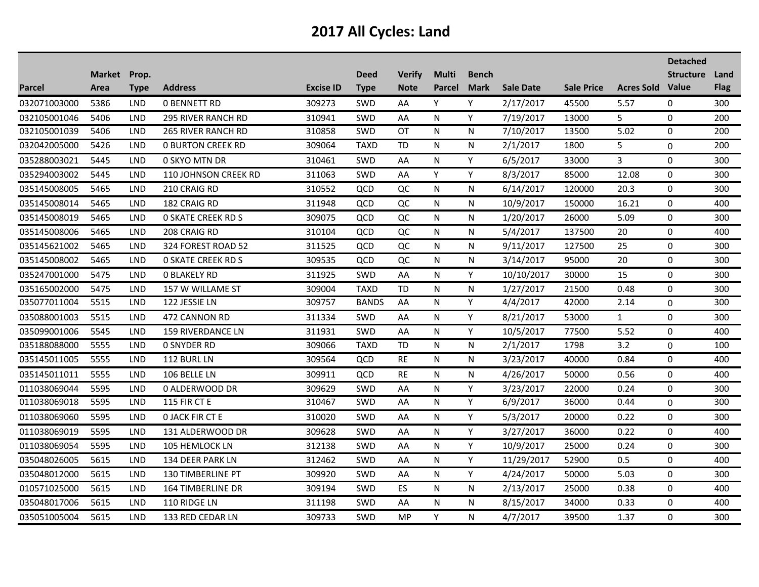|               |                      |             |                             |                  |                            |                              |                               |                             |                  |                   |                         | <b>Detached</b>  |                     |
|---------------|----------------------|-------------|-----------------------------|------------------|----------------------------|------------------------------|-------------------------------|-----------------------------|------------------|-------------------|-------------------------|------------------|---------------------|
| <b>Parcel</b> | Market Prop.<br>Area | <b>Type</b> | <b>Address</b>              | <b>Excise ID</b> | <b>Deed</b><br><b>Type</b> | <b>Verify</b><br><b>Note</b> | <b>Multi</b><br><b>Parcel</b> | <b>Bench</b><br><b>Mark</b> | <b>Sale Date</b> | <b>Sale Price</b> | <b>Acres Sold Value</b> | <b>Structure</b> | Land<br><b>Flag</b> |
| 032071003000  | 5386                 | <b>LND</b>  | <b>0 BENNETT RD</b>         | 309273           | SWD                        | AA                           | Y                             | Y                           | 2/17/2017        | 45500             | 5.57                    | 0                | 300                 |
| 032105001046  | 5406                 | <b>LND</b>  | 295 RIVER RANCH RD          | 310941           | SWD                        | AA                           | N                             | Y                           | 7/19/2017        | 13000             | 5                       | 0                | 200                 |
| 032105001039  | 5406                 | LND         | <b>265 RIVER RANCH RD</b>   | 310858           | SWD                        | OT                           | N                             | N                           | 7/10/2017        | 13500             | 5.02                    | 0                | 200                 |
| 032042005000  | 5426                 | <b>LND</b>  | <b>0 BURTON CREEK RD</b>    | 309064           | <b>TAXD</b>                | <b>TD</b>                    | N                             | ${\sf N}$                   | 2/1/2017         | 1800              | 5                       | 0                | 200                 |
| 035288003021  | 5445                 | <b>LND</b>  | 0 SKYO MTN DR               | 310461           | SWD                        | AA                           | N                             | Y                           | 6/5/2017         | 33000             | 3                       | 0                | 300                 |
| 035294003002  | 5445                 | <b>LND</b>  | <b>110 JOHNSON CREEK RD</b> | 311063           | <b>SWD</b>                 | AA                           | Y                             | Y                           | 8/3/2017         | 85000             | 12.08                   | 0                | 300                 |
| 035145008005  | 5465                 | LND         | 210 CRAIG RD                | 310552           | QCD                        | QC                           | N                             | N                           | 6/14/2017        | 120000            | 20.3                    | 0                | 300                 |
| 035145008014  | 5465                 | LND         | 182 CRAIG RD                | 311948           | QCD                        | QC                           | N                             | N                           | 10/9/2017        | 150000            | 16.21                   | 0                | 400                 |
| 035145008019  | 5465                 | LND         | <b>0 SKATE CREEK RD S</b>   | 309075           | QCD                        | QC                           | N                             | N                           | 1/20/2017        | 26000             | 5.09                    | 0                | 300                 |
| 035145008006  | 5465                 | <b>LND</b>  | 208 CRAIG RD                | 310104           | QCD                        | QC                           | N                             | N                           | 5/4/2017         | 137500            | 20                      | 0                | 400                 |
| 035145621002  | 5465                 | <b>LND</b>  | 324 FOREST ROAD 52          | 311525           | QCD                        | QC                           | N                             | N                           | 9/11/2017        | 127500            | 25                      | $\mathbf 0$      | 300                 |
| 035145008002  | 5465                 | <b>LND</b>  | <b>0 SKATE CREEK RD S</b>   | 309535           | QCD                        | QC                           | N                             | N                           | 3/14/2017        | 95000             | 20                      | $\overline{0}$   | 300                 |
| 035247001000  | 5475                 | <b>LND</b>  | <b>0 BLAKELY RD</b>         | 311925           | SWD                        | AA                           | N                             | Y                           | 10/10/2017       | 30000             | 15                      | $\mathbf 0$      | 300                 |
| 035165002000  | 5475                 | <b>LND</b>  | 157 W WILLAME ST            | 309004           | <b>TAXD</b>                | <b>TD</b>                    | N                             | N                           | 1/27/2017        | 21500             | 0.48                    | 0                | 300                 |
| 035077011004  | 5515                 | <b>LND</b>  | 122 JESSIE LN               | 309757           | <b>BANDS</b>               | AA                           | N                             | Y                           | 4/4/2017         | 42000             | 2.14                    | 0                | 300                 |
| 035088001003  | 5515                 | <b>LND</b>  | 472 CANNON RD               | 311334           | SWD                        | AA                           | N                             | Y                           | 8/21/2017        | 53000             | $\mathbf{1}$            | 0                | 300                 |
| 035099001006  | 5545                 | <b>LND</b>  | 159 RIVERDANCE LN           | 311931           | SWD                        | AA                           | N                             | Υ                           | 10/5/2017        | 77500             | 5.52                    | 0                | 400                 |
| 035188088000  | 5555                 | <b>LND</b>  | <b>0 SNYDER RD</b>          | 309066           | <b>TAXD</b>                | <b>TD</b>                    | N                             | N.                          | 2/1/2017         | 1798              | 3.2                     | 0                | 100                 |
| 035145011005  | 5555                 | LND         | 112 BURL LN                 | 309564           | QCD                        | <b>RE</b>                    | N                             | N                           | 3/23/2017        | 40000             | 0.84                    | 0                | 400                 |
| 035145011011  | 5555                 | <b>LND</b>  | 106 BELLE LN                | 309911           | QCD                        | <b>RE</b>                    | N                             | N                           | 4/26/2017        | 50000             | 0.56                    | 0                | 400                 |
| 011038069044  | 5595                 | <b>LND</b>  | 0 ALDERWOOD DR              | 309629           | <b>SWD</b>                 | AA                           | N                             | Y                           | 3/23/2017        | 22000             | 0.24                    | $\mathbf 0$      | 300                 |
| 011038069018  | 5595                 | <b>LND</b>  | <b>115 FIR CT E</b>         | 310467           | <b>SWD</b>                 | AA                           | N                             | Y                           | 6/9/2017         | 36000             | 0.44                    | 0                | 300                 |
| 011038069060  | 5595                 | <b>LND</b>  | <b>O JACK FIR CT E</b>      | 310020           | <b>SWD</b>                 | AA                           | N                             | Y                           | 5/3/2017         | 20000             | 0.22                    | 0                | 300                 |
| 011038069019  | 5595                 | <b>LND</b>  | 131 ALDERWOOD DR            | 309628           | SWD                        | AA                           | N                             | Y                           | 3/27/2017        | 36000             | 0.22                    | 0                | 400                 |
| 011038069054  | 5595                 | <b>LND</b>  | <b>105 HEMLOCK LN</b>       | 312138           | SWD                        | AA                           | N                             | Y                           | 10/9/2017        | 25000             | 0.24                    | 0                | 300                 |
| 035048026005  | 5615                 | <b>LND</b>  | 134 DEER PARK LN            | 312462           | SWD                        | AA                           | N                             | Y                           | 11/29/2017       | 52900             | 0.5                     | 0                | 400                 |
| 035048012000  | 5615                 | <b>LND</b>  | 130 TIMBERLINE PT           | 309920           | <b>SWD</b>                 | AA                           | N                             | Y                           | 4/24/2017        | 50000             | 5.03                    | 0                | 300                 |
| 010571025000  | 5615                 | <b>LND</b>  | <b>164 TIMBERLINE DR</b>    | 309194           | <b>SWD</b>                 | ES                           | N                             | N                           | 2/13/2017        | 25000             | 0.38                    | $\pmb{0}$        | 400                 |
| 035048017006  | 5615                 | <b>LND</b>  | 110 RIDGE LN                | 311198           | <b>SWD</b>                 | AA                           | N                             | N                           | 8/15/2017        | 34000             | 0.33                    | 0                | 400                 |
| 035051005004  | 5615                 | <b>LND</b>  | 133 RED CEDAR LN            | 309733           | SWD                        | <b>MP</b>                    | Y                             | N                           | 4/7/2017         | 39500             | 1.37                    | 0                | 300                 |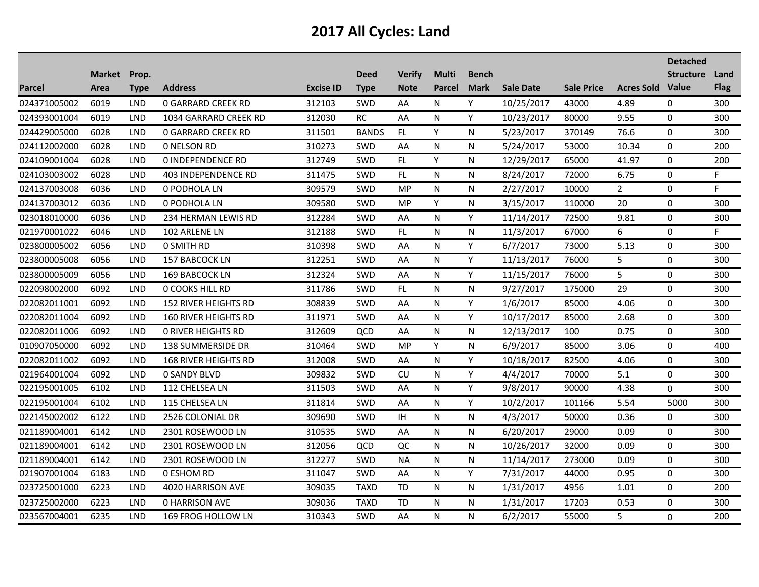|               |                      |             |                             |                  |                            |                              |                               |                             |                  |                   |                         | <b>Detached</b>  |                     |
|---------------|----------------------|-------------|-----------------------------|------------------|----------------------------|------------------------------|-------------------------------|-----------------------------|------------------|-------------------|-------------------------|------------------|---------------------|
| <b>Parcel</b> | Market Prop.<br>Area | <b>Type</b> | <b>Address</b>              | <b>Excise ID</b> | <b>Deed</b><br><b>Type</b> | <b>Verify</b><br><b>Note</b> | <b>Multi</b><br><b>Parcel</b> | <b>Bench</b><br><b>Mark</b> | <b>Sale Date</b> | <b>Sale Price</b> | <b>Acres Sold Value</b> | <b>Structure</b> | Land<br><b>Flag</b> |
| 024371005002  | 6019                 | <b>LND</b>  | <b>0 GARRARD CREEK RD</b>   | 312103           | SWD                        | AA                           | N                             | Y                           | 10/25/2017       | 43000             | 4.89                    | 0                | 300                 |
| 024393001004  | 6019                 | <b>LND</b>  | 1034 GARRARD CREEK RD       | 312030           | RC                         | AA                           | N                             | Y                           | 10/23/2017       | 80000             | 9.55                    | 0                | 300                 |
| 024429005000  | 6028                 | <b>LND</b>  | <b>0 GARRARD CREEK RD</b>   | 311501           | <b>BANDS</b>               | FL.                          | Y                             | N                           | 5/23/2017        | 370149            | 76.6                    | 0                | 300                 |
| 024112002000  | 6028                 | <b>LND</b>  | <b>0 NELSON RD</b>          | 310273           | <b>SWD</b>                 | AA                           | N                             | N                           | 5/24/2017        | 53000             | 10.34                   | 0                | 200                 |
| 024109001004  | 6028                 | <b>LND</b>  | <b>0 INDEPENDENCE RD</b>    | 312749           | SWD                        | FL                           | Υ                             | N                           | 12/29/2017       | 65000             | 41.97                   | $\mathbf 0$      | 200                 |
| 024103003002  | 6028                 | <b>LND</b>  | 403 INDEPENDENCE RD         | 311475           | <b>SWD</b>                 | FL                           | N                             | N                           | 8/24/2017        | 72000             | 6.75                    | 0                | F.                  |
| 024137003008  | 6036                 | <b>LND</b>  | 0 PODHOLA LN                | 309579           | SWD                        | <b>MP</b>                    | N                             | N                           | 2/27/2017        | 10000             | $\overline{2}$          | 0                | F.                  |
| 024137003012  | 6036                 | <b>LND</b>  | 0 PODHOLA LN                | 309580           | <b>SWD</b>                 | MP                           | Υ                             | N                           | 3/15/2017        | 110000            | 20                      | 0                | 300                 |
| 023018010000  | 6036                 | <b>LND</b>  | 234 HERMAN LEWIS RD         | 312284           | SWD                        | AA                           | N                             | Υ                           | 11/14/2017       | 72500             | 9.81                    | $\mathbf 0$      | 300                 |
| 021970001022  | 6046                 | <b>LND</b>  | 102 ARLENE LN               | 312188           | SWD                        | FL                           | N                             | N                           | 11/3/2017        | 67000             | 6                       | 0                | F.                  |
| 023800005002  | 6056                 | <b>LND</b>  | 0 SMITH RD                  | 310398           | <b>SWD</b>                 | AA                           | N                             | Y.                          | 6/7/2017         | 73000             | 5.13                    | 0                | 300                 |
| 023800005008  | 6056                 | <b>LND</b>  | 157 BABCOCK LN              | 312251           | SWD                        | AA                           | N                             | Y                           | 11/13/2017       | 76000             | 5                       | 0                | 300                 |
| 023800005009  | 6056                 | <b>LND</b>  | 169 BABCOCK LN              | 312324           | <b>SWD</b>                 | AA                           | N                             | Y                           | 11/15/2017       | 76000             | 5                       | 0                | 300                 |
| 022098002000  | 6092                 | <b>LND</b>  | 0 COOKS HILL RD             | 311786           | SWD                        | FL.                          | N                             | N                           | 9/27/2017        | 175000            | 29                      | $\Omega$         | 300                 |
| 022082011001  | 6092                 | <b>LND</b>  | 152 RIVER HEIGHTS RD        | 308839           | <b>SWD</b>                 | AA                           | N                             | Y                           | 1/6/2017         | 85000             | 4.06                    | 0                | 300                 |
| 022082011004  | 6092                 | <b>LND</b>  | <b>160 RIVER HEIGHTS RD</b> | 311971           | SWD                        | AA                           | N                             | Y                           | 10/17/2017       | 85000             | 2.68                    | 0                | 300                 |
| 022082011006  | 6092                 | <b>LND</b>  | <b>0 RIVER HEIGHTS RD</b>   | 312609           | QCD                        | AA                           | N                             | N                           | 12/13/2017       | 100               | 0.75                    | 0                | 300                 |
| 010907050000  | 6092                 | <b>LND</b>  | 138 SUMMERSIDE DR           | 310464           | SWD                        | <b>MP</b>                    | Υ                             | N                           | 6/9/2017         | 85000             | 3.06                    | 0                | 400                 |
| 022082011002  | 6092                 | <b>LND</b>  | <b>168 RIVER HEIGHTS RD</b> | 312008           | <b>SWD</b>                 | AA                           | N                             | Y                           | 10/18/2017       | 82500             | 4.06                    | $\Omega$         | 300                 |
| 021964001004  | 6092                 | <b>LND</b>  | <b>0 SANDY BLVD</b>         | 309832           | <b>SWD</b>                 | CU                           | N                             | Y                           | 4/4/2017         | 70000             | 5.1                     | $\pmb{0}$        | 300                 |
| 022195001005  | 6102                 | <b>LND</b>  | 112 CHELSEA LN              | 311503           | SWD                        | AA                           | N                             | Y                           | 9/8/2017         | 90000             | 4.38                    | 0                | 300                 |
| 022195001004  | 6102                 | <b>LND</b>  | 115 CHELSEA LN              | 311814           | <b>SWD</b>                 | AA                           | N                             | Y                           | 10/2/2017        | 101166            | 5.54                    | 5000             | 300                 |
| 022145002002  | 6122                 | LND         | 2526 COLONIAL DR            | 309690           | SWD                        | IH                           | N                             | N                           | 4/3/2017         | 50000             | 0.36                    | 0                | 300                 |
| 021189004001  | 6142                 | <b>LND</b>  | 2301 ROSEWOOD LN            | 310535           | SWD                        | AA                           | N                             | N                           | 6/20/2017        | 29000             | 0.09                    | $\mathbf 0$      | 300                 |
| 021189004001  | 6142                 | <b>LND</b>  | 2301 ROSEWOOD LN            | 312056           | QCD                        | QC                           | N                             | N                           | 10/26/2017       | 32000             | 0.09                    | 0                | 300                 |
| 021189004001  | 6142                 | LND         | 2301 ROSEWOOD LN            | 312277           | <b>SWD</b>                 | <b>NA</b>                    | N                             | N                           | 11/14/2017       | 273000            | 0.09                    | 0                | 300                 |
| 021907001004  | 6183                 | LND         | 0 ESHOM RD                  | 311047           | SWD                        | AA                           | N                             | Y                           | 7/31/2017        | 44000             | 0.95                    | $\Omega$         | 300                 |
| 023725001000  | 6223                 | <b>LND</b>  | 4020 HARRISON AVE           | 309035           | <b>TAXD</b>                | <b>TD</b>                    | N                             | N                           | 1/31/2017        | 4956              | 1.01                    | $\pmb{0}$        | 200                 |
| 023725002000  | 6223                 | LND         | <b>0 HARRISON AVE</b>       | 309036           | <b>TAXD</b>                | <b>TD</b>                    | N                             | N                           | 1/31/2017        | 17203             | 0.53                    | 0                | 300                 |
| 023567004001  | 6235                 | <b>LND</b>  | 169 FROG HOLLOW LN          | 310343           | SWD                        | AA                           | N                             | N                           | 6/2/2017         | 55000             | 5                       | $\Omega$         | 200                 |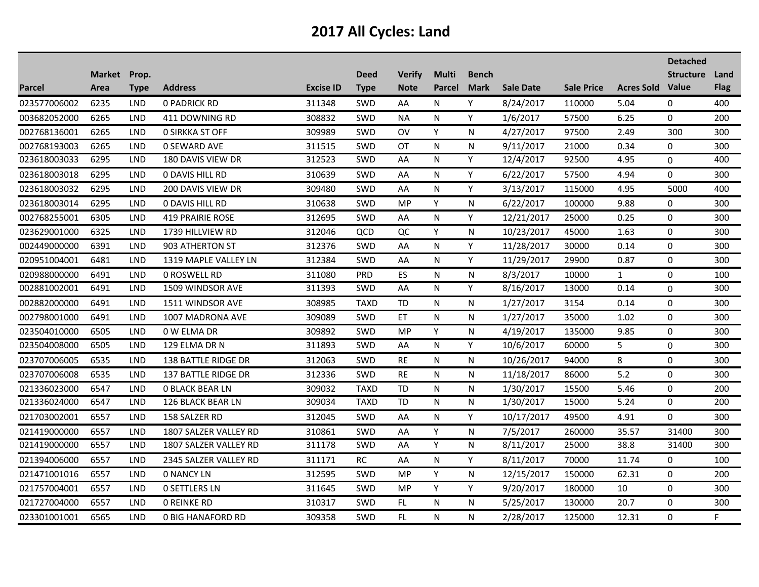|               |              |             |                          |                  |             |               |               |              |                  |                   |                         | <b>Detached</b>  |              |
|---------------|--------------|-------------|--------------------------|------------------|-------------|---------------|---------------|--------------|------------------|-------------------|-------------------------|------------------|--------------|
|               | Market Prop. |             |                          |                  | <b>Deed</b> | <b>Verify</b> | <b>Multi</b>  | <b>Bench</b> |                  |                   |                         | <b>Structure</b> | Land         |
| <b>Parcel</b> | Area         | <b>Type</b> | <b>Address</b>           | <b>Excise ID</b> | <b>Type</b> | <b>Note</b>   | <b>Parcel</b> | <b>Mark</b>  | <b>Sale Date</b> | <b>Sale Price</b> | <b>Acres Sold Value</b> |                  | <b>Flag</b>  |
| 023577006002  | 6235         | <b>LND</b>  | <b>0 PADRICK RD</b>      | 311348           | SWD         | AA            | N             | Y            | 8/24/2017        | 110000            | 5.04                    | 0                | 400          |
| 003682052000  | 6265         | <b>LND</b>  | 411 DOWNING RD           | 308832           | SWD         | <b>NA</b>     | N             | Y            | 1/6/2017         | 57500             | 6.25                    | 0                | 200          |
| 002768136001  | 6265         | <b>LND</b>  | <b>0 SIRKKA ST OFF</b>   | 309989           | SWD         | OV            | Y             | N            | 4/27/2017        | 97500             | 2.49                    | 300              | 300          |
| 002768193003  | 6265         | LND         | <b>0 SEWARD AVE</b>      | 311515           | SWD         | <b>OT</b>     | N             | N            | 9/11/2017        | 21000             | 0.34                    | 0                | 300          |
| 023618003033  | 6295         | <b>LND</b>  | 180 DAVIS VIEW DR        | 312523           | <b>SWD</b>  | AA            | N             | Y            | 12/4/2017        | 92500             | 4.95                    | 0                | 400          |
| 023618003018  | 6295         | <b>LND</b>  | <b>0 DAVIS HILL RD</b>   | 310639           | <b>SWD</b>  | AA            | N             | Y            | 6/22/2017        | 57500             | 4.94                    | 0                | 300          |
| 023618003032  | 6295         | <b>LND</b>  | 200 DAVIS VIEW DR        | 309480           | SWD         | AA            | N             | Υ            | 3/13/2017        | 115000            | 4.95                    | 5000             | 400          |
| 023618003014  | 6295         | LND         | 0 DAVIS HILL RD          | 310638           | SWD         | MP            | Y             | N            | 6/22/2017        | 100000            | 9.88                    | 0                | 300          |
| 002768255001  | 6305         | LND         | <b>419 PRAIRIE ROSE</b>  | 312695           | SWD         | AA            | N             | Y            | 12/21/2017       | 25000             | 0.25                    | 0                | 300          |
| 023629001000  | 6325         | <b>LND</b>  | 1739 HILLVIEW RD         | 312046           | QCD         | QC            | Υ             | N            | 10/23/2017       | 45000             | 1.63                    | 0                | 300          |
| 002449000000  | 6391         | <b>LND</b>  | 903 ATHERTON ST          | 312376           | <b>SWD</b>  | AA            | N             | Y            | 11/28/2017       | 30000             | 0.14                    | 0                | 300          |
| 020951004001  | 6481         | <b>LND</b>  | 1319 MAPLE VALLEY LN     | 312384           | <b>SWD</b>  | AA            | N             | Y            | 11/29/2017       | 29900             | 0.87                    | 0                | 300          |
| 020988000000  | 6491         | <b>LND</b>  | <b>0 ROSWELL RD</b>      | 311080           | <b>PRD</b>  | ES            | N             | N            | 8/3/2017         | 10000             | $\mathbf{1}$            | 0                | 100          |
| 002881002001  | 6491         | <b>LND</b>  | 1509 WINDSOR AVE         | 311393           | <b>SWD</b>  | AA            | N             | Y            | 8/16/2017        | 13000             | 0.14                    | 0                | 300          |
| 002882000000  | 6491         | <b>LND</b>  | 1511 WINDSOR AVE         | 308985           | <b>TAXD</b> | <b>TD</b>     | N             | N            | 1/27/2017        | 3154              | 0.14                    | 0                | 300          |
| 002798001000  | 6491         | <b>LND</b>  | 1007 MADRONA AVE         | 309089           | SWD         | ET            | N             | N            | 1/27/2017        | 35000             | 1.02                    | 0                | 300          |
| 023504010000  | 6505         | <b>LND</b>  | 0 W ELMA DR              | 309892           | <b>SWD</b>  | MP.           | Υ             | N            | 4/19/2017        | 135000            | 9.85                    | 0                | 300          |
| 023504008000  | 6505         | <b>LND</b>  | 129 ELMA DR N            | 311893           | SWD         | AA            | N             | Y            | 10/6/2017        | 60000             | 5                       | 0                | 300          |
| 023707006005  | 6535         | <b>LND</b>  | 138 BATTLE RIDGE DR      | 312063           | <b>SWD</b>  | <b>RE</b>     | N             | N            | 10/26/2017       | 94000             | 8                       | 0                | 300          |
| 023707006008  | 6535         | <b>LND</b>  | 137 BATTLE RIDGE DR      | 312336           | SWD         | <b>RE</b>     | N             | N            | 11/18/2017       | 86000             | 5.2                     | 0                | 300          |
| 021336023000  | 6547         | <b>LND</b>  | <b>0 BLACK BEAR LN</b>   | 309032           | <b>TAXD</b> | <b>TD</b>     | N             | N            | 1/30/2017        | 15500             | 5.46                    | 0                | 200          |
| 021336024000  | 6547         | <b>LND</b>  | 126 BLACK BEAR LN        | 309034           | <b>TAXD</b> | <b>TD</b>     | N             | N.           | 1/30/2017        | 15000             | 5.24                    | 0                | 200          |
| 021703002001  | 6557         | <b>LND</b>  | 158 SALZER RD            | 312045           | <b>SWD</b>  | AA            | N             | Y            | 10/17/2017       | 49500             | 4.91                    | $\Omega$         | 300          |
| 021419000000  | 6557         | <b>LND</b>  | 1807 SALZER VALLEY RD    | 310861           | SWD         | AA            | Υ             | N            | 7/5/2017         | 260000            | 35.57                   | 31400            | 300          |
| 021419000000  | 6557         | <b>LND</b>  | 1807 SALZER VALLEY RD    | 311178           | SWD         | AA            | Y             | N.           | 8/11/2017        | 25000             | 38.8                    | 31400            | 300          |
| 021394006000  | 6557         | <b>LND</b>  | 2345 SALZER VALLEY RD    | 311171           | RC          | AA            | N             | Y            | 8/11/2017        | 70000             | 11.74                   | 0                | 100          |
| 021471001016  | 6557         | <b>LND</b>  | <b>0 NANCY LN</b>        | 312595           | SWD         | <b>MP</b>     | Y             | N            | 12/15/2017       | 150000            | 62.31                   | 0                | 200          |
| 021757004001  | 6557         | <b>LND</b>  | <b>0 SETTLERS LN</b>     | 311645           | <b>SWD</b>  | <b>MP</b>     | Y             | Y            | 9/20/2017        | 180000            | 10                      | 0                | 300          |
| 021727004000  | 6557         | <b>LND</b>  | <b>0 REINKE RD</b>       | 310317           | SWD         | FL.           | N             | N            | 5/25/2017        | 130000            | 20.7                    | 0                | 300          |
| 023301001001  | 6565         | <b>LND</b>  | <b>0 BIG HANAFORD RD</b> | 309358           | SWD         | FL            | N             | N            | 2/28/2017        | 125000            | 12.31                   | 0                | $\mathsf{F}$ |